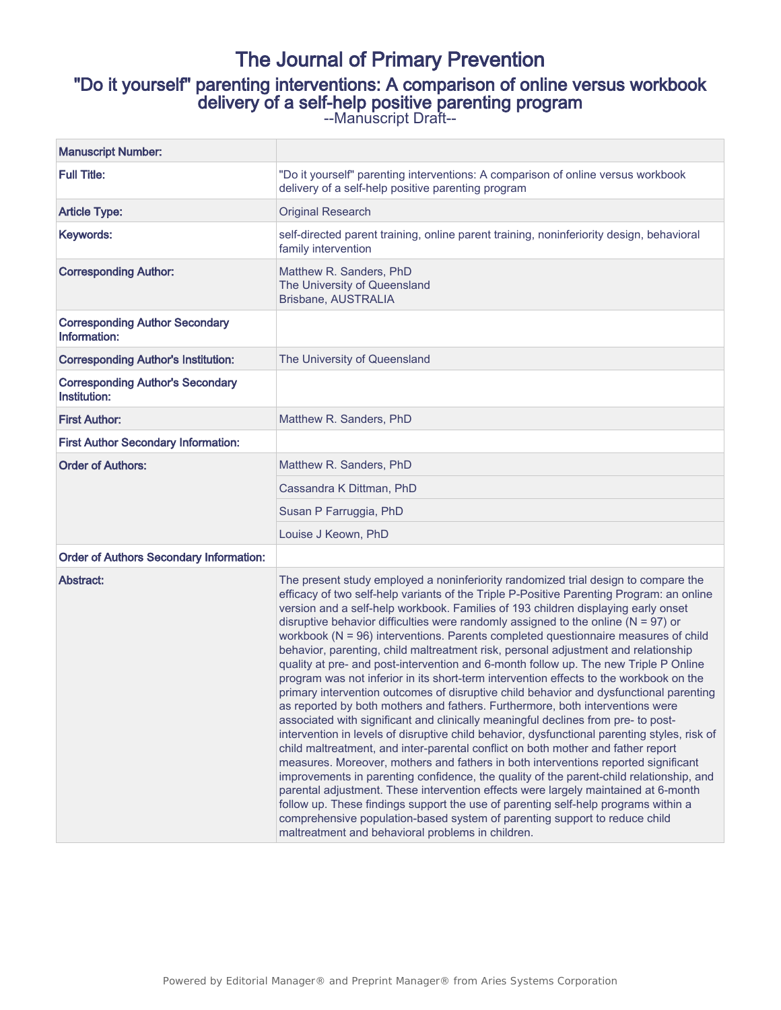# The Journal of Primary Prevention "Do it yourself" parenting interventions: A comparison of online versus workbook delivery of a self-help positive parenting program --Manuscript Draft--

| <b>Manuscript Number:</b>                               |                                                                                                                                                                                                                                                                                                                                                                                                                                                                                                                                                                                                                                                                                                                                                                                                                                                                                                                                                                                                                                                                                                                                                                                                                                                                                                                                                                                                                                                                                                                                                                                                                                                                                    |  |  |  |
|---------------------------------------------------------|------------------------------------------------------------------------------------------------------------------------------------------------------------------------------------------------------------------------------------------------------------------------------------------------------------------------------------------------------------------------------------------------------------------------------------------------------------------------------------------------------------------------------------------------------------------------------------------------------------------------------------------------------------------------------------------------------------------------------------------------------------------------------------------------------------------------------------------------------------------------------------------------------------------------------------------------------------------------------------------------------------------------------------------------------------------------------------------------------------------------------------------------------------------------------------------------------------------------------------------------------------------------------------------------------------------------------------------------------------------------------------------------------------------------------------------------------------------------------------------------------------------------------------------------------------------------------------------------------------------------------------------------------------------------------------|--|--|--|
| <b>Full Title:</b>                                      | "Do it yourself" parenting interventions: A comparison of online versus workbook<br>delivery of a self-help positive parenting program                                                                                                                                                                                                                                                                                                                                                                                                                                                                                                                                                                                                                                                                                                                                                                                                                                                                                                                                                                                                                                                                                                                                                                                                                                                                                                                                                                                                                                                                                                                                             |  |  |  |
| <b>Article Type:</b>                                    | <b>Original Research</b>                                                                                                                                                                                                                                                                                                                                                                                                                                                                                                                                                                                                                                                                                                                                                                                                                                                                                                                                                                                                                                                                                                                                                                                                                                                                                                                                                                                                                                                                                                                                                                                                                                                           |  |  |  |
| Keywords:                                               | self-directed parent training, online parent training, noninferiority design, behavioral<br>family intervention                                                                                                                                                                                                                                                                                                                                                                                                                                                                                                                                                                                                                                                                                                                                                                                                                                                                                                                                                                                                                                                                                                                                                                                                                                                                                                                                                                                                                                                                                                                                                                    |  |  |  |
| <b>Corresponding Author:</b>                            | Matthew R. Sanders, PhD<br>The University of Queensland<br>Brisbane, AUSTRALIA                                                                                                                                                                                                                                                                                                                                                                                                                                                                                                                                                                                                                                                                                                                                                                                                                                                                                                                                                                                                                                                                                                                                                                                                                                                                                                                                                                                                                                                                                                                                                                                                     |  |  |  |
| <b>Corresponding Author Secondary</b><br>Information:   |                                                                                                                                                                                                                                                                                                                                                                                                                                                                                                                                                                                                                                                                                                                                                                                                                                                                                                                                                                                                                                                                                                                                                                                                                                                                                                                                                                                                                                                                                                                                                                                                                                                                                    |  |  |  |
| <b>Corresponding Author's Institution:</b>              | The University of Queensland                                                                                                                                                                                                                                                                                                                                                                                                                                                                                                                                                                                                                                                                                                                                                                                                                                                                                                                                                                                                                                                                                                                                                                                                                                                                                                                                                                                                                                                                                                                                                                                                                                                       |  |  |  |
| <b>Corresponding Author's Secondary</b><br>Institution: |                                                                                                                                                                                                                                                                                                                                                                                                                                                                                                                                                                                                                                                                                                                                                                                                                                                                                                                                                                                                                                                                                                                                                                                                                                                                                                                                                                                                                                                                                                                                                                                                                                                                                    |  |  |  |
| <b>First Author:</b>                                    | Matthew R. Sanders, PhD                                                                                                                                                                                                                                                                                                                                                                                                                                                                                                                                                                                                                                                                                                                                                                                                                                                                                                                                                                                                                                                                                                                                                                                                                                                                                                                                                                                                                                                                                                                                                                                                                                                            |  |  |  |
| <b>First Author Secondary Information:</b>              |                                                                                                                                                                                                                                                                                                                                                                                                                                                                                                                                                                                                                                                                                                                                                                                                                                                                                                                                                                                                                                                                                                                                                                                                                                                                                                                                                                                                                                                                                                                                                                                                                                                                                    |  |  |  |
| <b>Order of Authors:</b>                                | Matthew R. Sanders, PhD                                                                                                                                                                                                                                                                                                                                                                                                                                                                                                                                                                                                                                                                                                                                                                                                                                                                                                                                                                                                                                                                                                                                                                                                                                                                                                                                                                                                                                                                                                                                                                                                                                                            |  |  |  |
|                                                         | Cassandra K Dittman, PhD                                                                                                                                                                                                                                                                                                                                                                                                                                                                                                                                                                                                                                                                                                                                                                                                                                                                                                                                                                                                                                                                                                                                                                                                                                                                                                                                                                                                                                                                                                                                                                                                                                                           |  |  |  |
|                                                         | Susan P Farruggia, PhD                                                                                                                                                                                                                                                                                                                                                                                                                                                                                                                                                                                                                                                                                                                                                                                                                                                                                                                                                                                                                                                                                                                                                                                                                                                                                                                                                                                                                                                                                                                                                                                                                                                             |  |  |  |
|                                                         | Louise J Keown, PhD                                                                                                                                                                                                                                                                                                                                                                                                                                                                                                                                                                                                                                                                                                                                                                                                                                                                                                                                                                                                                                                                                                                                                                                                                                                                                                                                                                                                                                                                                                                                                                                                                                                                |  |  |  |
| <b>Order of Authors Secondary Information:</b>          |                                                                                                                                                                                                                                                                                                                                                                                                                                                                                                                                                                                                                                                                                                                                                                                                                                                                                                                                                                                                                                                                                                                                                                                                                                                                                                                                                                                                                                                                                                                                                                                                                                                                                    |  |  |  |
| Abstract:                                               | The present study employed a noninferiority randomized trial design to compare the<br>efficacy of two self-help variants of the Triple P-Positive Parenting Program: an online<br>version and a self-help workbook. Families of 193 children displaying early onset<br>disruptive behavior difficulties were randomly assigned to the online ( $N = 97$ ) or<br>workbook ( $N = 96$ ) interventions. Parents completed questionnaire measures of child<br>behavior, parenting, child maltreatment risk, personal adjustment and relationship<br>quality at pre- and post-intervention and 6-month follow up. The new Triple P Online<br>program was not inferior in its short-term intervention effects to the workbook on the<br>primary intervention outcomes of disruptive child behavior and dysfunctional parenting<br>as reported by both mothers and fathers. Furthermore, both interventions were<br>associated with significant and clinically meaningful declines from pre- to post-<br>intervention in levels of disruptive child behavior, dysfunctional parenting styles, risk of<br>child maltreatment, and inter-parental conflict on both mother and father report<br>measures. Moreover, mothers and fathers in both interventions reported significant<br>improvements in parenting confidence, the quality of the parent-child relationship, and<br>parental adjustment. These intervention effects were largely maintained at 6-month<br>follow up. These findings support the use of parenting self-help programs within a<br>comprehensive population-based system of parenting support to reduce child<br>maltreatment and behavioral problems in children. |  |  |  |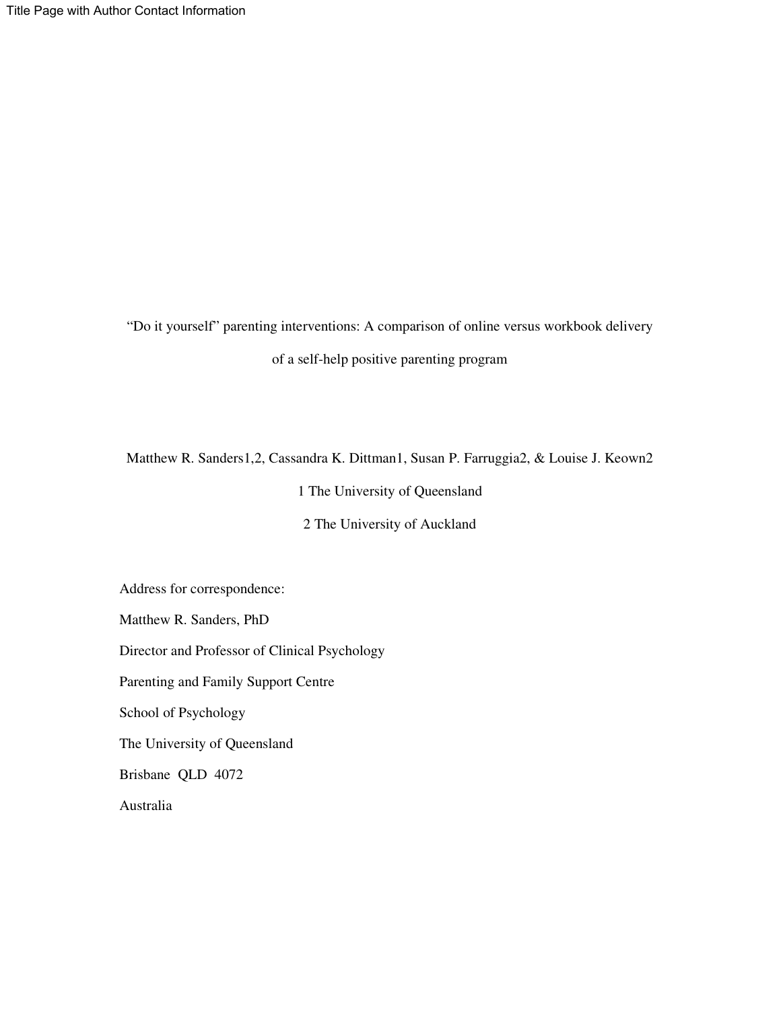"Do it yourself" parenting interventions: A comparison of online versus workbook delivery of a self-help positive parenting program

Matthew R. Sanders1,2, Cassandra K. Dittman1, Susan P. Farruggia2, & Louise J. Keown2

1 The University of Queensland

2 The University of Auckland

Address for correspondence:

Matthew R. Sanders, PhD

Director and Professor of Clinical Psychology

Parenting and Family Support Centre

School of Psychology

The University of Queensland

Brisbane QLD 4072

Australia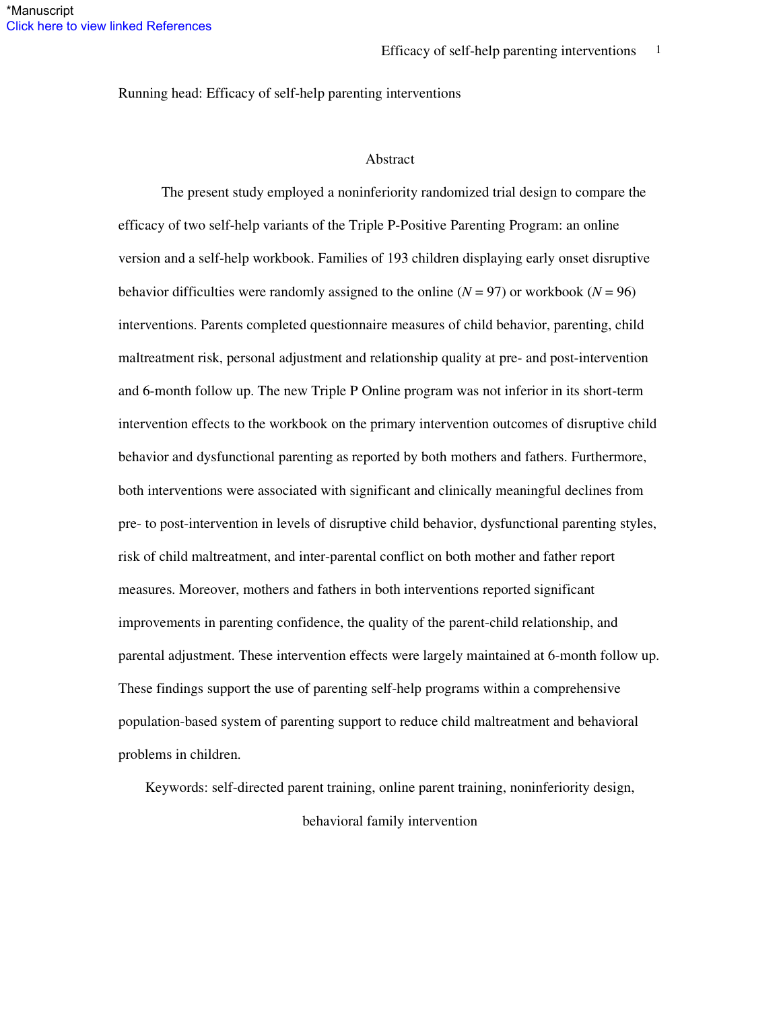Running head: Efficacy of self-help parenting interventions

### Abstract

The present study employed a noninferiority randomized trial design to compare the efficacy of two self-help variants of the Triple P-Positive Parenting Program: an online version and a self-help workbook. Families of 193 children displaying early onset disruptive behavior difficulties were randomly assigned to the online  $(N = 97)$  or workbook  $(N = 96)$ interventions. Parents completed questionnaire measures of child behavior, parenting, child maltreatment risk, personal adjustment and relationship quality at pre- and post-intervention and 6-month follow up. The new Triple P Online program was not inferior in its short-term intervention effects to the workbook on the primary intervention outcomes of disruptive child behavior and dysfunctional parenting as reported by both mothers and fathers. Furthermore, both interventions were associated with significant and clinically meaningful declines from pre- to post-intervention in levels of disruptive child behavior, dysfunctional parenting styles, risk of child maltreatment, and inter-parental conflict on both mother and father report measures. Moreover, mothers and fathers in both interventions reported significant improvements in parenting confidence, the quality of the parent-child relationship, and parental adjustment. These intervention effects were largely maintained at 6-month follow up. These findings support the use of parenting self-help programs within a comprehensive population-based system of parenting support to reduce child maltreatment and behavioral problems in children.

Keywords: self-directed parent training, online parent training, noninferiority design,

behavioral family intervention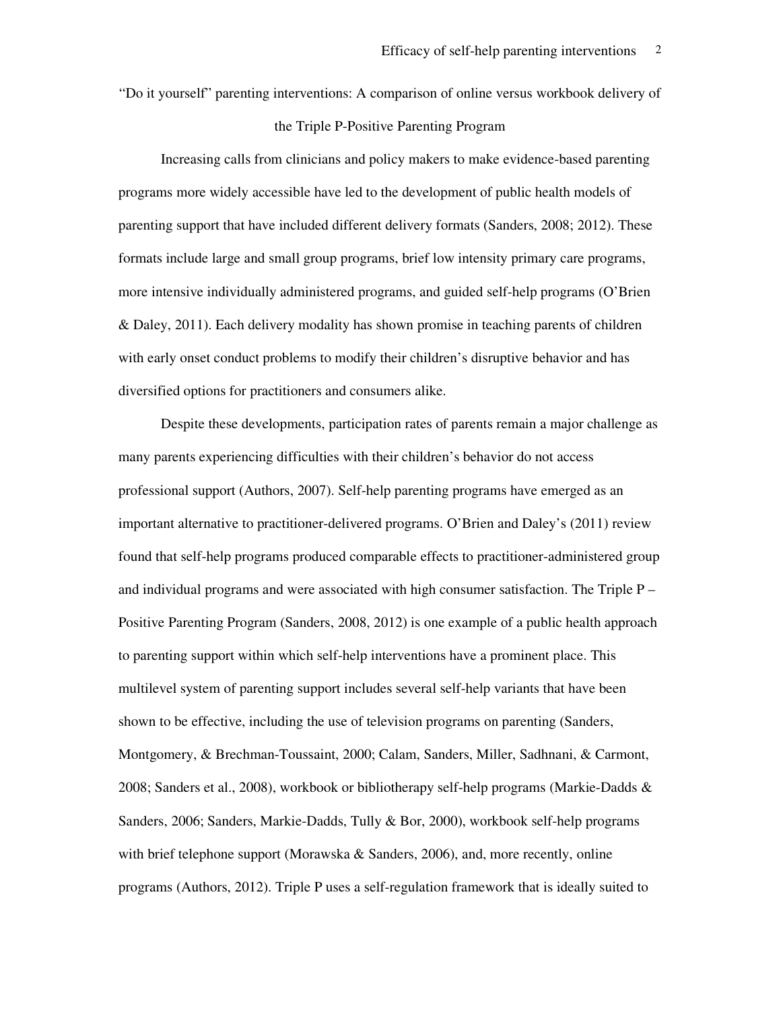"Do it yourself" parenting interventions: A comparison of online versus workbook delivery of

## the Triple P-Positive Parenting Program

Increasing calls from clinicians and policy makers to make evidence-based parenting programs more widely accessible have led to the development of public health models of parenting support that have included different delivery formats (Sanders, 2008; 2012). These formats include large and small group programs, brief low intensity primary care programs, more intensive individually administered programs, and guided self-help programs (O'Brien & Daley, 2011). Each delivery modality has shown promise in teaching parents of children with early onset conduct problems to modify their children's disruptive behavior and has diversified options for practitioners and consumers alike.

Despite these developments, participation rates of parents remain a major challenge as many parents experiencing difficulties with their children's behavior do not access professional support (Authors, 2007). Self-help parenting programs have emerged as an important alternative to practitioner-delivered programs. O'Brien and Daley's (2011) review found that self-help programs produced comparable effects to practitioner-administered group and individual programs and were associated with high consumer satisfaction. The Triple P – Positive Parenting Program (Sanders, 2008, 2012) is one example of a public health approach to parenting support within which self-help interventions have a prominent place. This multilevel system of parenting support includes several self-help variants that have been shown to be effective, including the use of television programs on parenting (Sanders, Montgomery, & Brechman-Toussaint, 2000; Calam, Sanders, Miller, Sadhnani, & Carmont, 2008; Sanders et al., 2008), workbook or bibliotherapy self-help programs (Markie-Dadds & Sanders, 2006; Sanders, Markie-Dadds, Tully & Bor, 2000), workbook self-help programs with brief telephone support (Morawska & Sanders, 2006), and, more recently, online programs (Authors, 2012). Triple P uses a self-regulation framework that is ideally suited to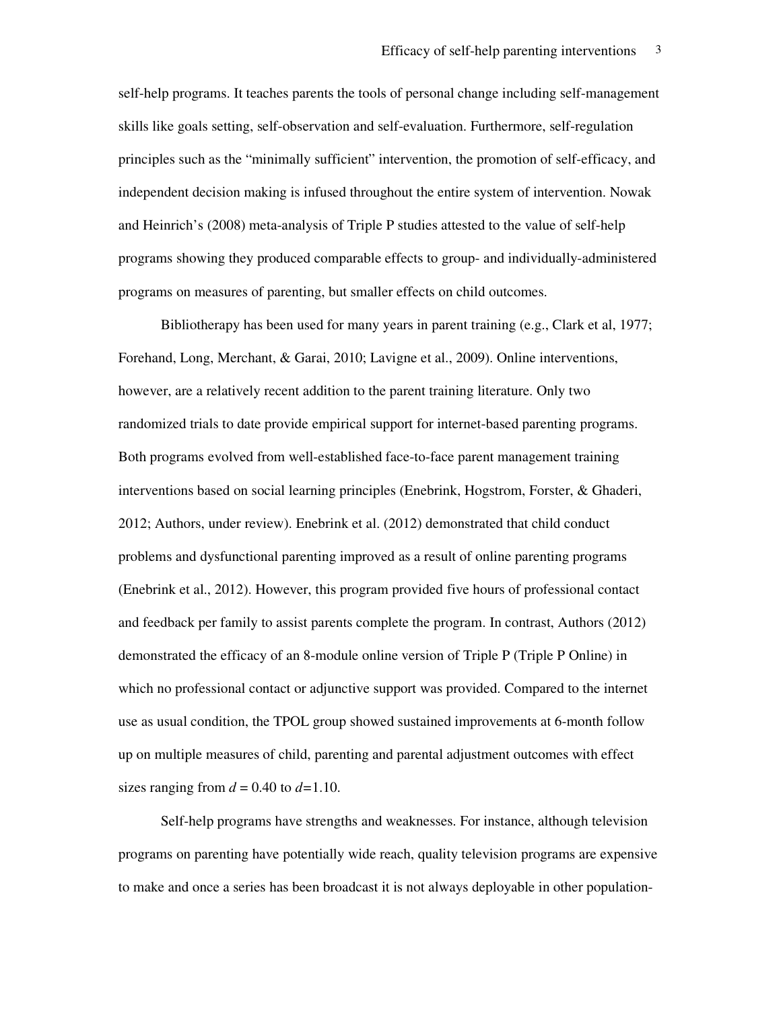self-help programs. It teaches parents the tools of personal change including self-management skills like goals setting, self-observation and self-evaluation. Furthermore, self-regulation principles such as the "minimally sufficient" intervention, the promotion of self-efficacy, and independent decision making is infused throughout the entire system of intervention. Nowak and Heinrich's (2008) meta-analysis of Triple P studies attested to the value of self-help programs showing they produced comparable effects to group- and individually-administered programs on measures of parenting, but smaller effects on child outcomes.

Bibliotherapy has been used for many years in parent training (e.g., Clark et al, 1977; Forehand, Long, Merchant, & Garai, 2010; Lavigne et al., 2009). Online interventions, however, are a relatively recent addition to the parent training literature. Only two randomized trials to date provide empirical support for internet-based parenting programs. Both programs evolved from well-established face-to-face parent management training interventions based on social learning principles (Enebrink, Hogstrom, Forster, & Ghaderi, 2012; Authors, under review). Enebrink et al. (2012) demonstrated that child conduct problems and dysfunctional parenting improved as a result of online parenting programs (Enebrink et al., 2012). However, this program provided five hours of professional contact and feedback per family to assist parents complete the program. In contrast, Authors (2012) demonstrated the efficacy of an 8-module online version of Triple P (Triple P Online) in which no professional contact or adjunctive support was provided. Compared to the internet use as usual condition, the TPOL group showed sustained improvements at 6-month follow up on multiple measures of child, parenting and parental adjustment outcomes with effect sizes ranging from  $d = 0.40$  to  $d=1.10$ .

Self-help programs have strengths and weaknesses. For instance, although television programs on parenting have potentially wide reach, quality television programs are expensive to make and once a series has been broadcast it is not always deployable in other population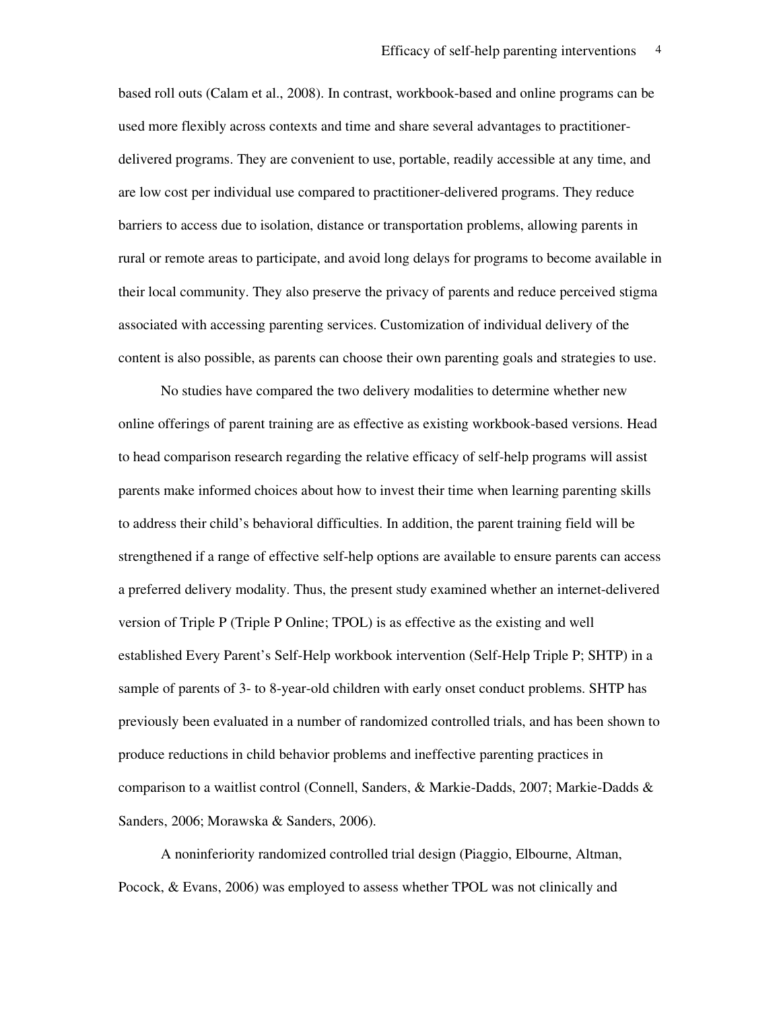based roll outs (Calam et al., 2008). In contrast, workbook-based and online programs can be used more flexibly across contexts and time and share several advantages to practitionerdelivered programs. They are convenient to use, portable, readily accessible at any time, and are low cost per individual use compared to practitioner-delivered programs. They reduce barriers to access due to isolation, distance or transportation problems, allowing parents in rural or remote areas to participate, and avoid long delays for programs to become available in their local community. They also preserve the privacy of parents and reduce perceived stigma associated with accessing parenting services. Customization of individual delivery of the content is also possible, as parents can choose their own parenting goals and strategies to use.

No studies have compared the two delivery modalities to determine whether new online offerings of parent training are as effective as existing workbook-based versions. Head to head comparison research regarding the relative efficacy of self-help programs will assist parents make informed choices about how to invest their time when learning parenting skills to address their child's behavioral difficulties. In addition, the parent training field will be strengthened if a range of effective self-help options are available to ensure parents can access a preferred delivery modality. Thus, the present study examined whether an internet-delivered version of Triple P (Triple P Online; TPOL) is as effective as the existing and well established Every Parent's Self-Help workbook intervention (Self-Help Triple P; SHTP) in a sample of parents of 3- to 8-year-old children with early onset conduct problems. SHTP has previously been evaluated in a number of randomized controlled trials, and has been shown to produce reductions in child behavior problems and ineffective parenting practices in comparison to a waitlist control (Connell, Sanders, & Markie-Dadds, 2007; Markie-Dadds & Sanders, 2006; Morawska & Sanders, 2006).

A noninferiority randomized controlled trial design (Piaggio, Elbourne, Altman, Pocock, & Evans, 2006) was employed to assess whether TPOL was not clinically and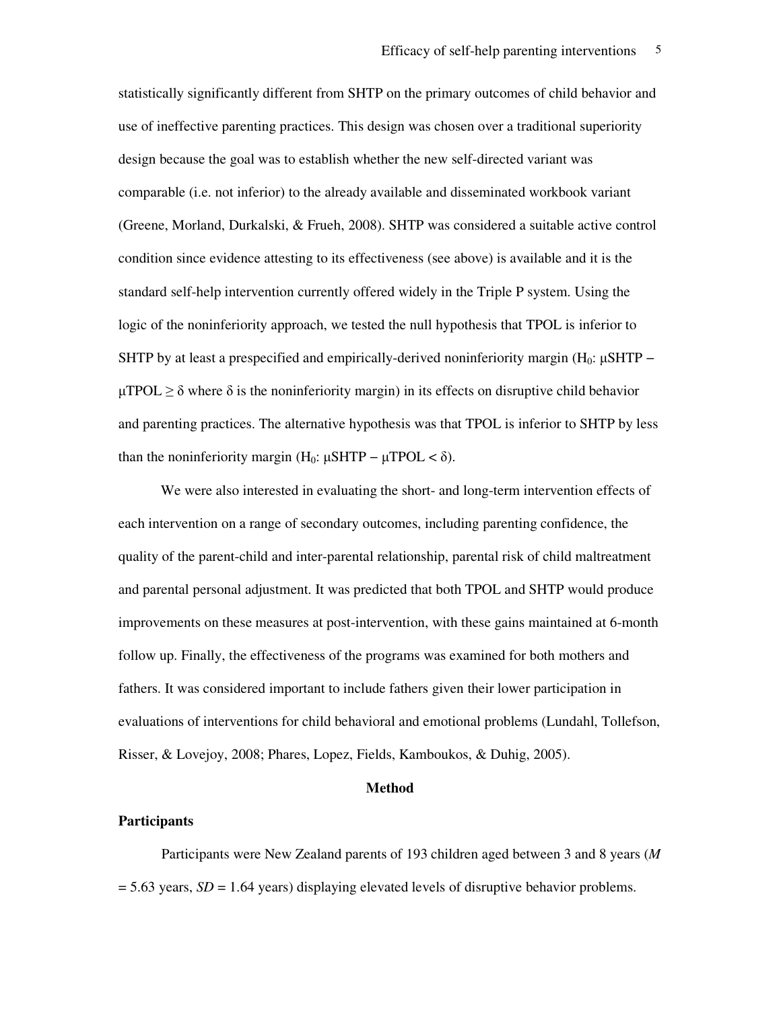statistically significantly different from SHTP on the primary outcomes of child behavior and use of ineffective parenting practices. This design was chosen over a traditional superiority design because the goal was to establish whether the new self-directed variant was comparable (i.e. not inferior) to the already available and disseminated workbook variant (Greene, Morland, Durkalski, & Frueh, 2008). SHTP was considered a suitable active control condition since evidence attesting to its effectiveness (see above) is available and it is the standard self-help intervention currently offered widely in the Triple P system. Using the logic of the noninferiority approach, we tested the null hypothesis that TPOL is inferior to SHTP by at least a prespecified and empirically-derived noninferiority margin ( $H_0$ : µSHTP –  $\mu$ TPOL  $\geq \delta$  where  $\delta$  is the noninferiority margin) in its effects on disruptive child behavior and parenting practices. The alternative hypothesis was that TPOL is inferior to SHTP by less than the noninferiority margin (H<sub>0</sub>:  $\mu$ SHTP –  $\mu$ TPOL <  $\delta$ ).

We were also interested in evaluating the short- and long-term intervention effects of each intervention on a range of secondary outcomes, including parenting confidence, the quality of the parent-child and inter-parental relationship, parental risk of child maltreatment and parental personal adjustment. It was predicted that both TPOL and SHTP would produce improvements on these measures at post-intervention, with these gains maintained at 6-month follow up. Finally, the effectiveness of the programs was examined for both mothers and fathers. It was considered important to include fathers given their lower participation in evaluations of interventions for child behavioral and emotional problems (Lundahl, Tollefson, Risser, & Lovejoy, 2008; Phares, Lopez, Fields, Kamboukos, & Duhig, 2005).

### **Method**

#### **Participants**

Participants were New Zealand parents of 193 children aged between 3 and 8 years (*M*  $= 5.63$  years, *SD* = 1.64 years) displaying elevated levels of disruptive behavior problems.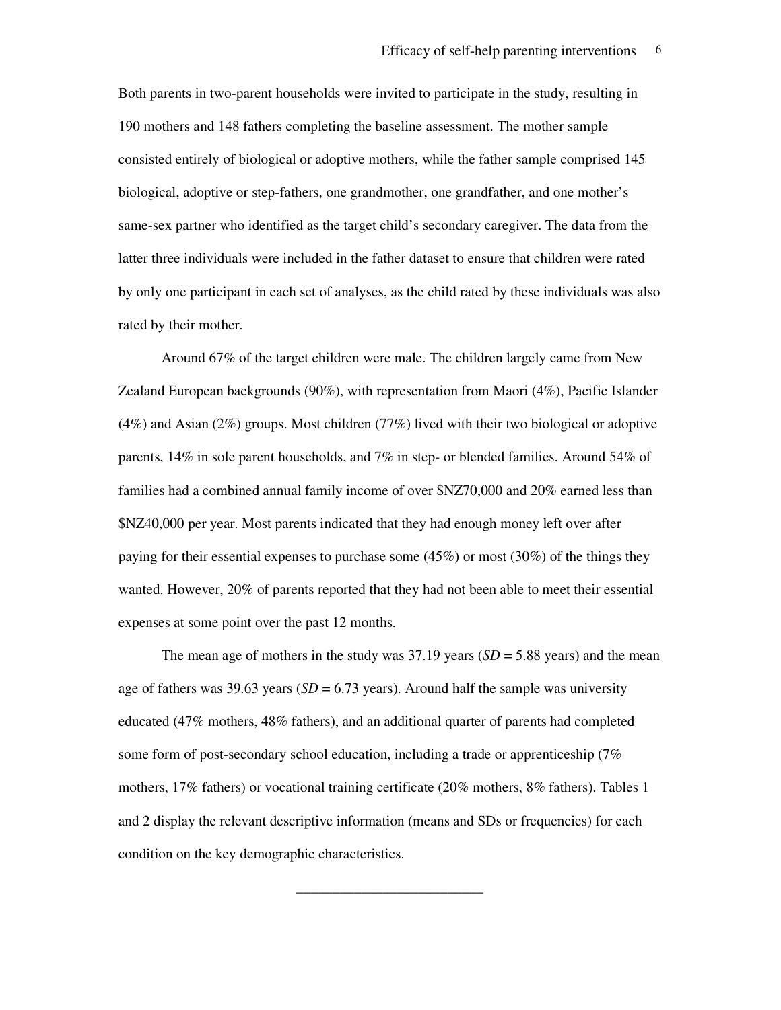Both parents in two-parent households were invited to participate in the study, resulting in 190 mothers and 148 fathers completing the baseline assessment. The mother sample consisted entirely of biological or adoptive mothers, while the father sample comprised 145 biological, adoptive or step-fathers, one grandmother, one grandfather, and one mother's same-sex partner who identified as the target child's secondary caregiver. The data from the latter three individuals were included in the father dataset to ensure that children were rated by only one participant in each set of analyses, as the child rated by these individuals was also rated by their mother.

Around 67% of the target children were male. The children largely came from New Zealand European backgrounds (90%), with representation from Maori (4%), Pacific Islander (4%) and Asian (2%) groups. Most children (77%) lived with their two biological or adoptive parents, 14% in sole parent households, and 7% in step- or blended families. Around 54% of families had a combined annual family income of over \$NZ70,000 and 20% earned less than \$NZ40,000 per year. Most parents indicated that they had enough money left over after paying for their essential expenses to purchase some (45%) or most (30%) of the things they wanted. However, 20% of parents reported that they had not been able to meet their essential expenses at some point over the past 12 months.

The mean age of mothers in the study was  $37.19$  years (*SD* = 5.88 years) and the mean age of fathers was 39.63 years ( $SD = 6.73$  years). Around half the sample was university educated (47% mothers, 48% fathers), and an additional quarter of parents had completed some form of post-secondary school education, including a trade or apprenticeship (7% mothers, 17% fathers) or vocational training certificate (20% mothers, 8% fathers). Tables 1 and 2 display the relevant descriptive information (means and SDs or frequencies) for each condition on the key demographic characteristics.

\_\_\_\_\_\_\_\_\_\_\_\_\_\_\_\_\_\_\_\_\_\_\_\_\_\_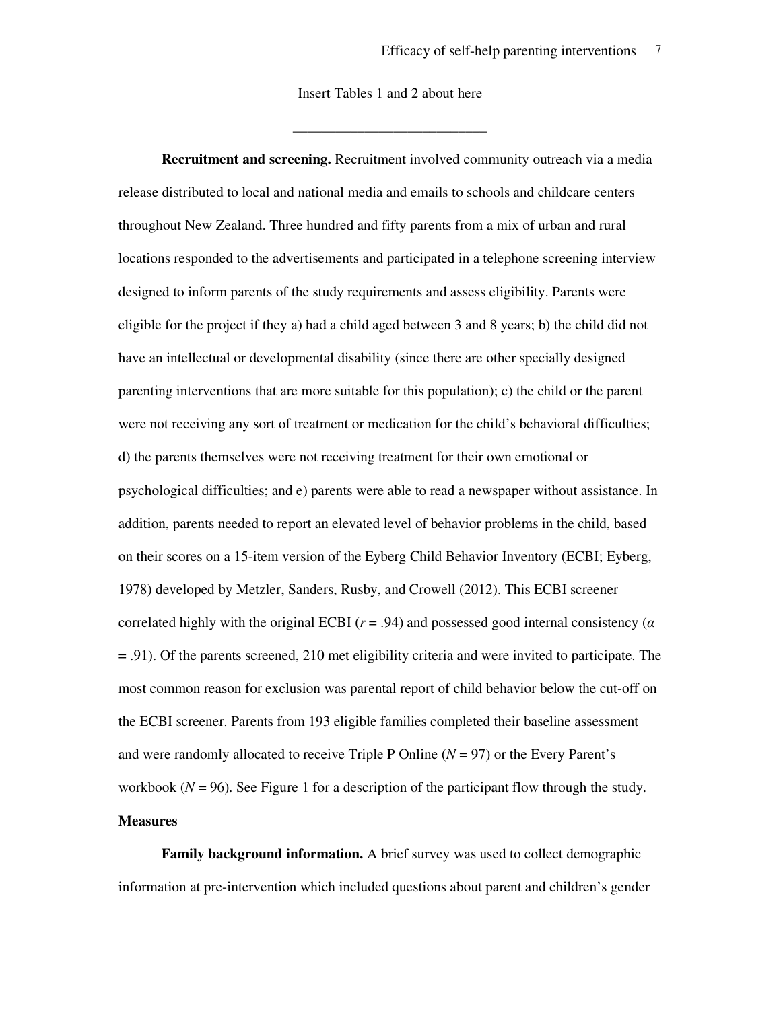Insert Tables 1 and 2 about here

\_\_\_\_\_\_\_\_\_\_\_\_\_\_\_\_\_\_\_\_\_\_\_\_\_\_\_

**Recruitment and screening.** Recruitment involved community outreach via a media release distributed to local and national media and emails to schools and childcare centers throughout New Zealand. Three hundred and fifty parents from a mix of urban and rural locations responded to the advertisements and participated in a telephone screening interview designed to inform parents of the study requirements and assess eligibility. Parents were eligible for the project if they a) had a child aged between 3 and 8 years; b) the child did not have an intellectual or developmental disability (since there are other specially designed parenting interventions that are more suitable for this population); c) the child or the parent were not receiving any sort of treatment or medication for the child's behavioral difficulties; d) the parents themselves were not receiving treatment for their own emotional or psychological difficulties; and e) parents were able to read a newspaper without assistance. In addition, parents needed to report an elevated level of behavior problems in the child, based on their scores on a 15-item version of the Eyberg Child Behavior Inventory (ECBI; Eyberg, 1978) developed by Metzler, Sanders, Rusby, and Crowell (2012). This ECBI screener correlated highly with the original ECBI (*r* = .94) and possessed good internal consistency (*α* = .91). Of the parents screened, 210 met eligibility criteria and were invited to participate. The most common reason for exclusion was parental report of child behavior below the cut-off on the ECBI screener. Parents from 193 eligible families completed their baseline assessment and were randomly allocated to receive Triple P Online (*N* = 97) or the Every Parent's workbook  $(N = 96)$ . See Figure 1 for a description of the participant flow through the study. **Measures** 

**Family background information.** A brief survey was used to collect demographic information at pre-intervention which included questions about parent and children's gender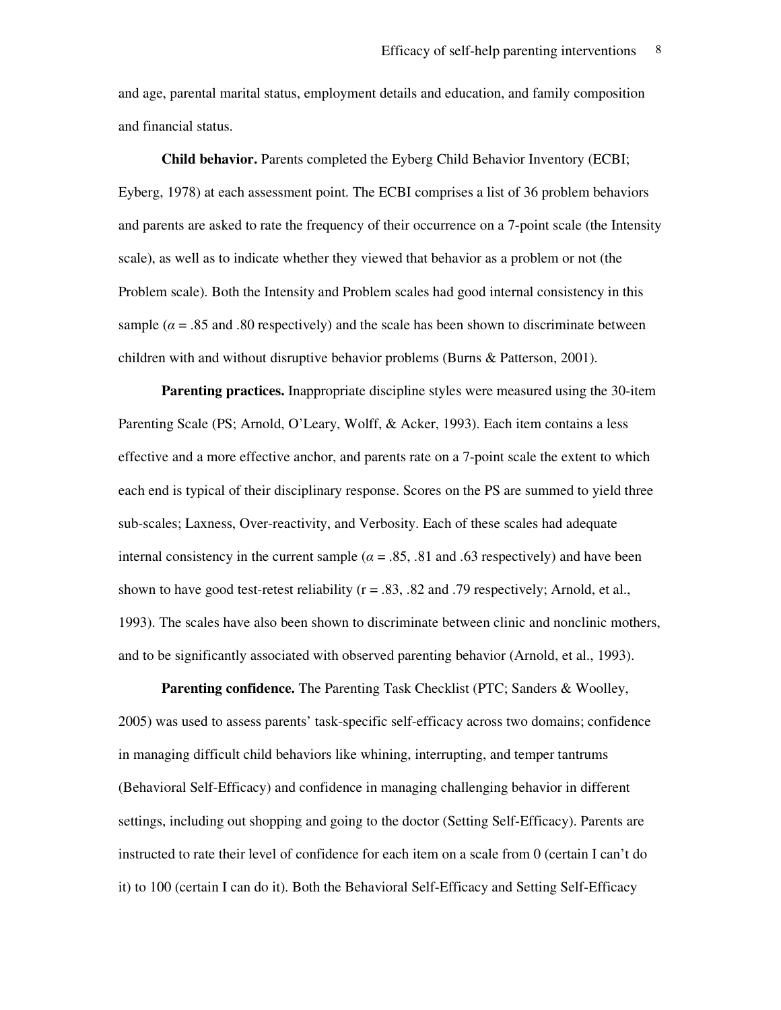and age, parental marital status, employment details and education, and family composition and financial status.

**Child behavior.** Parents completed the Eyberg Child Behavior Inventory (ECBI; Eyberg, 1978) at each assessment point. The ECBI comprises a list of 36 problem behaviors and parents are asked to rate the frequency of their occurrence on a 7-point scale (the Intensity scale), as well as to indicate whether they viewed that behavior as a problem or not (the Problem scale). Both the Intensity and Problem scales had good internal consistency in this sample ( $\alpha$  = .85 and .80 respectively) and the scale has been shown to discriminate between children with and without disruptive behavior problems (Burns & Patterson, 2001).

**Parenting practices.** Inappropriate discipline styles were measured using the 30-item Parenting Scale (PS; Arnold, O'Leary, Wolff, & Acker, 1993). Each item contains a less effective and a more effective anchor, and parents rate on a 7-point scale the extent to which each end is typical of their disciplinary response. Scores on the PS are summed to yield three sub-scales; Laxness, Over-reactivity, and Verbosity. Each of these scales had adequate internal consistency in the current sample ( $\alpha$  = .85, .81 and .63 respectively) and have been shown to have good test-retest reliability ( $r = .83$ ,  $.82$  and  $.79$  respectively; Arnold, et al., 1993). The scales have also been shown to discriminate between clinic and nonclinic mothers, and to be significantly associated with observed parenting behavior (Arnold, et al., 1993).

**Parenting confidence.** The Parenting Task Checklist (PTC; Sanders & Woolley, 2005) was used to assess parents' task-specific self-efficacy across two domains; confidence in managing difficult child behaviors like whining, interrupting, and temper tantrums (Behavioral Self-Efficacy) and confidence in managing challenging behavior in different settings, including out shopping and going to the doctor (Setting Self-Efficacy). Parents are instructed to rate their level of confidence for each item on a scale from 0 (certain I can't do it) to 100 (certain I can do it). Both the Behavioral Self-Efficacy and Setting Self-Efficacy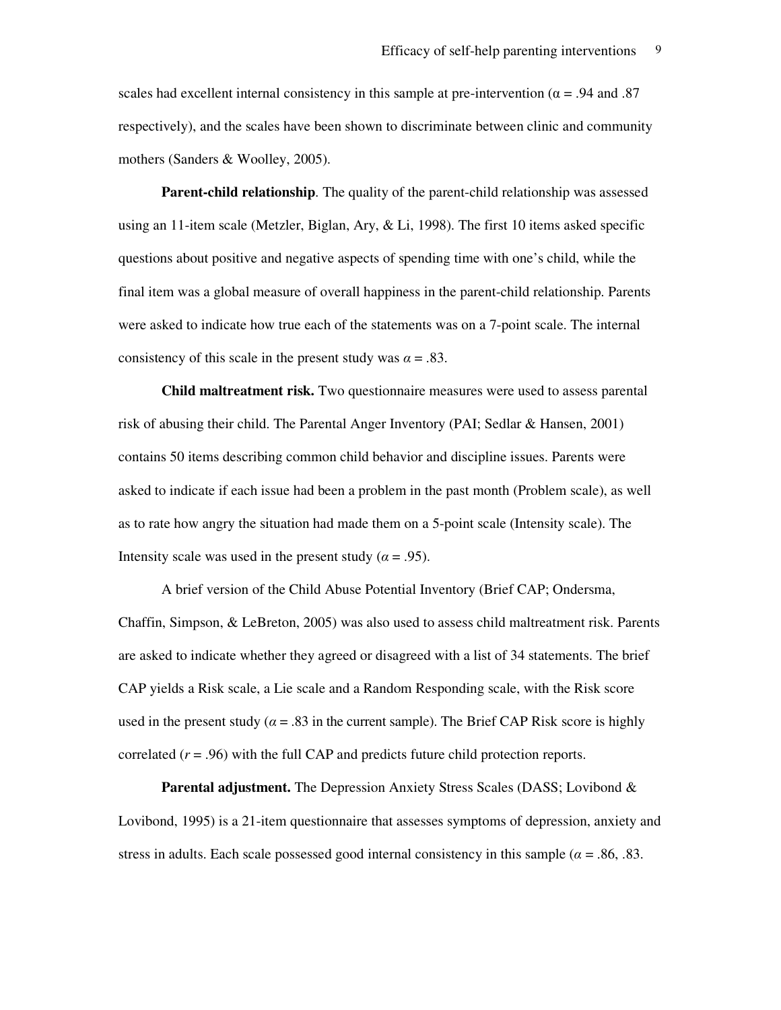scales had excellent internal consistency in this sample at pre-intervention ( $\alpha$  = .94 and .87 respectively), and the scales have been shown to discriminate between clinic and community mothers (Sanders & Woolley, 2005).

**Parent-child relationship**. The quality of the parent-child relationship was assessed using an 11-item scale (Metzler, Biglan, Ary, & Li, 1998). The first 10 items asked specific questions about positive and negative aspects of spending time with one's child, while the final item was a global measure of overall happiness in the parent-child relationship. Parents were asked to indicate how true each of the statements was on a 7-point scale. The internal consistency of this scale in the present study was  $\alpha = .83$ .

**Child maltreatment risk.** Two questionnaire measures were used to assess parental risk of abusing their child. The Parental Anger Inventory (PAI; Sedlar & Hansen, 2001) contains 50 items describing common child behavior and discipline issues. Parents were asked to indicate if each issue had been a problem in the past month (Problem scale), as well as to rate how angry the situation had made them on a 5-point scale (Intensity scale). The Intensity scale was used in the present study ( $\alpha$  = .95).

 A brief version of the Child Abuse Potential Inventory (Brief CAP; Ondersma, Chaffin, Simpson, & LeBreton, 2005) was also used to assess child maltreatment risk. Parents are asked to indicate whether they agreed or disagreed with a list of 34 statements. The brief CAP yields a Risk scale, a Lie scale and a Random Responding scale, with the Risk score used in the present study ( $\alpha$  = .83 in the current sample). The Brief CAP Risk score is highly correlated (*r* = .96) with the full CAP and predicts future child protection reports.

**Parental adjustment.** The Depression Anxiety Stress Scales (DASS; Lovibond & Lovibond, 1995) is a 21-item questionnaire that assesses symptoms of depression, anxiety and stress in adults. Each scale possessed good internal consistency in this sample ( $\alpha$  = .86, .83.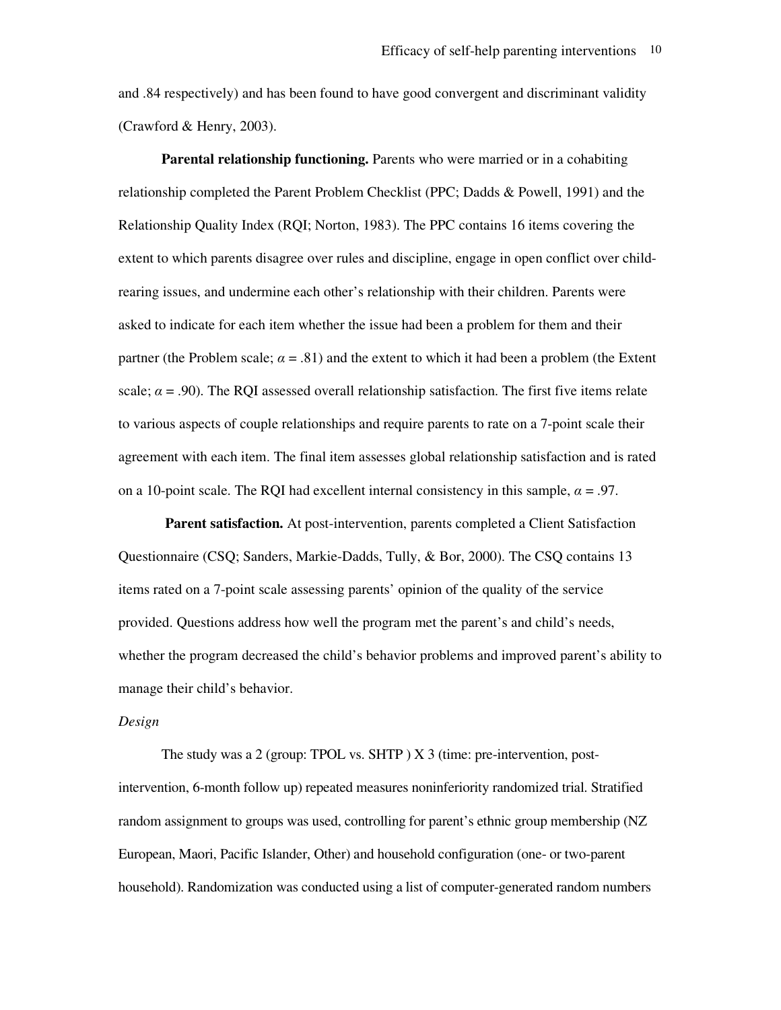and .84 respectively) and has been found to have good convergent and discriminant validity (Crawford & Henry, 2003).

**Parental relationship functioning.** Parents who were married or in a cohabiting relationship completed the Parent Problem Checklist (PPC; Dadds & Powell, 1991) and the Relationship Quality Index (RQI; Norton, 1983). The PPC contains 16 items covering the extent to which parents disagree over rules and discipline, engage in open conflict over childrearing issues, and undermine each other's relationship with their children. Parents were asked to indicate for each item whether the issue had been a problem for them and their partner (the Problem scale;  $\alpha = .81$ ) and the extent to which it had been a problem (the Extent scale;  $\alpha$  = .90). The RQI assessed overall relationship satisfaction. The first five items relate to various aspects of couple relationships and require parents to rate on a 7-point scale their agreement with each item. The final item assesses global relationship satisfaction and is rated on a 10-point scale. The RQI had excellent internal consistency in this sample,  $\alpha = .97$ .

**Parent satisfaction.** At post-intervention, parents completed a Client Satisfaction Questionnaire (CSQ; Sanders, Markie-Dadds, Tully, & Bor, 2000). The CSQ contains 13 items rated on a 7-point scale assessing parents' opinion of the quality of the service provided. Questions address how well the program met the parent's and child's needs, whether the program decreased the child's behavior problems and improved parent's ability to manage their child's behavior.

### *Design*

The study was a 2 (group: TPOL vs. SHTP ) X 3 (time: pre-intervention, postintervention, 6-month follow up) repeated measures noninferiority randomized trial. Stratified random assignment to groups was used, controlling for parent's ethnic group membership (NZ European, Maori, Pacific Islander, Other) and household configuration (one- or two-parent household). Randomization was conducted using a list of computer-generated random numbers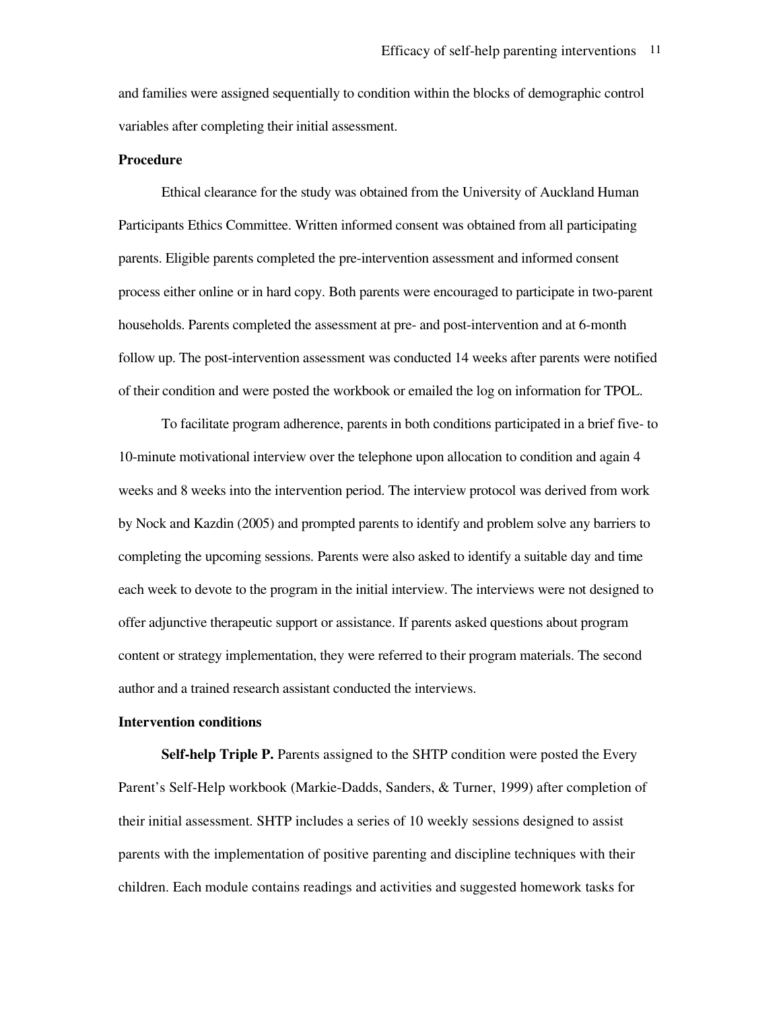and families were assigned sequentially to condition within the blocks of demographic control variables after completing their initial assessment.

#### **Procedure**

Ethical clearance for the study was obtained from the University of Auckland Human Participants Ethics Committee. Written informed consent was obtained from all participating parents. Eligible parents completed the pre-intervention assessment and informed consent process either online or in hard copy. Both parents were encouraged to participate in two-parent households. Parents completed the assessment at pre- and post-intervention and at 6-month follow up. The post-intervention assessment was conducted 14 weeks after parents were notified of their condition and were posted the workbook or emailed the log on information for TPOL.

To facilitate program adherence, parents in both conditions participated in a brief five- to 10-minute motivational interview over the telephone upon allocation to condition and again 4 weeks and 8 weeks into the intervention period. The interview protocol was derived from work by Nock and Kazdin (2005) and prompted parents to identify and problem solve any barriers to completing the upcoming sessions. Parents were also asked to identify a suitable day and time each week to devote to the program in the initial interview. The interviews were not designed to offer adjunctive therapeutic support or assistance. If parents asked questions about program content or strategy implementation, they were referred to their program materials. The second author and a trained research assistant conducted the interviews.

### **Intervention conditions**

**Self-help Triple P.** Parents assigned to the SHTP condition were posted the Every Parent's Self-Help workbook (Markie-Dadds, Sanders, & Turner, 1999) after completion of their initial assessment. SHTP includes a series of 10 weekly sessions designed to assist parents with the implementation of positive parenting and discipline techniques with their children. Each module contains readings and activities and suggested homework tasks for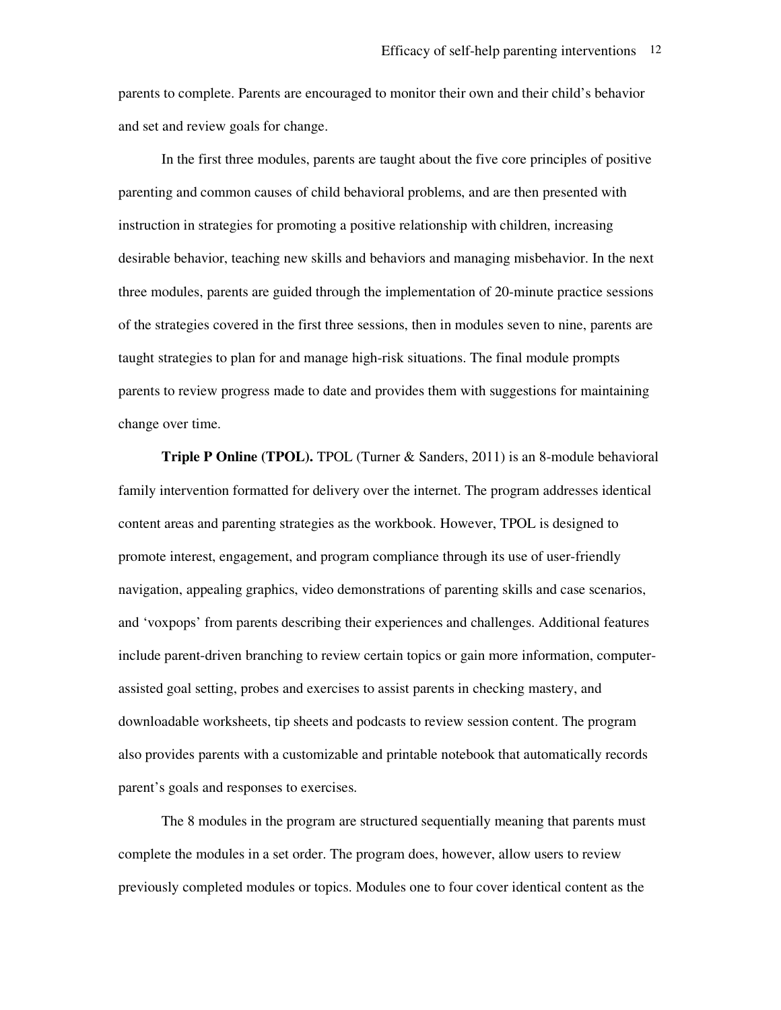parents to complete. Parents are encouraged to monitor their own and their child's behavior and set and review goals for change.

In the first three modules, parents are taught about the five core principles of positive parenting and common causes of child behavioral problems, and are then presented with instruction in strategies for promoting a positive relationship with children, increasing desirable behavior, teaching new skills and behaviors and managing misbehavior. In the next three modules, parents are guided through the implementation of 20-minute practice sessions of the strategies covered in the first three sessions, then in modules seven to nine, parents are taught strategies to plan for and manage high-risk situations. The final module prompts parents to review progress made to date and provides them with suggestions for maintaining change over time.

**Triple P Online (TPOL).** TPOL (Turner & Sanders, 2011) is an 8-module behavioral family intervention formatted for delivery over the internet. The program addresses identical content areas and parenting strategies as the workbook. However, TPOL is designed to promote interest, engagement, and program compliance through its use of user-friendly navigation, appealing graphics, video demonstrations of parenting skills and case scenarios, and 'voxpops' from parents describing their experiences and challenges. Additional features include parent-driven branching to review certain topics or gain more information, computerassisted goal setting, probes and exercises to assist parents in checking mastery, and downloadable worksheets, tip sheets and podcasts to review session content. The program also provides parents with a customizable and printable notebook that automatically records parent's goals and responses to exercises.

The 8 modules in the program are structured sequentially meaning that parents must complete the modules in a set order. The program does, however, allow users to review previously completed modules or topics. Modules one to four cover identical content as the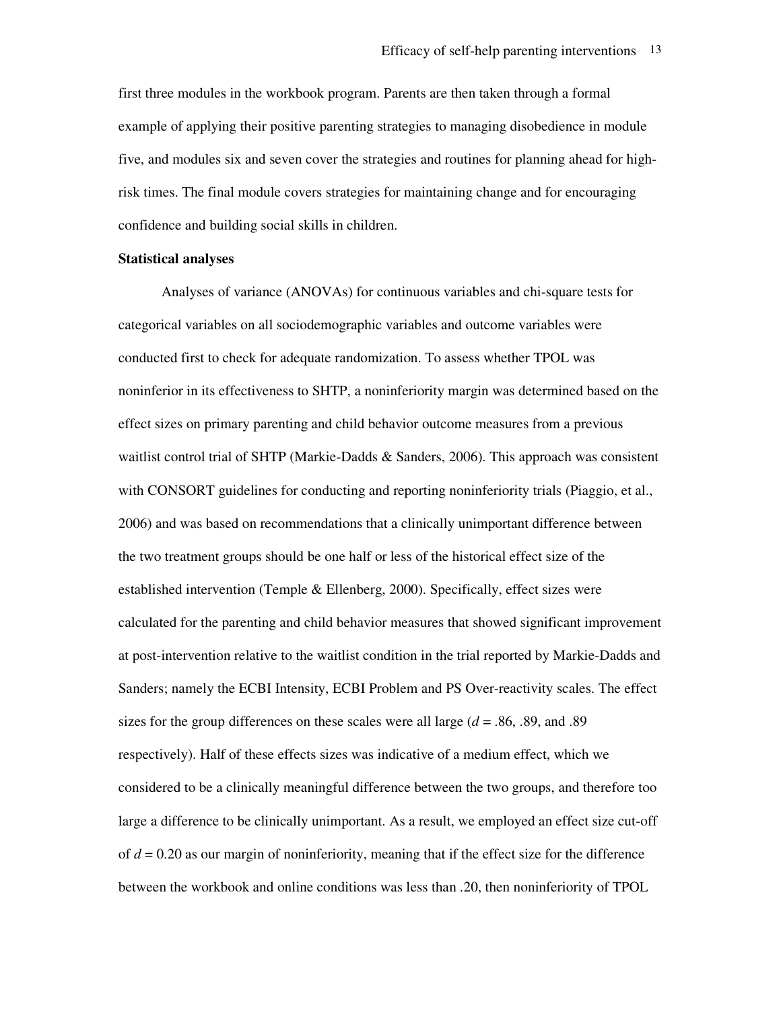first three modules in the workbook program. Parents are then taken through a formal example of applying their positive parenting strategies to managing disobedience in module five, and modules six and seven cover the strategies and routines for planning ahead for highrisk times. The final module covers strategies for maintaining change and for encouraging confidence and building social skills in children.

### **Statistical analyses**

 Analyses of variance (ANOVAs) for continuous variables and chi-square tests for categorical variables on all sociodemographic variables and outcome variables were conducted first to check for adequate randomization. To assess whether TPOL was noninferior in its effectiveness to SHTP, a noninferiority margin was determined based on the effect sizes on primary parenting and child behavior outcome measures from a previous waitlist control trial of SHTP (Markie-Dadds & Sanders, 2006). This approach was consistent with CONSORT guidelines for conducting and reporting noninferiority trials (Piaggio, et al., 2006) and was based on recommendations that a clinically unimportant difference between the two treatment groups should be one half or less of the historical effect size of the established intervention (Temple & Ellenberg, 2000). Specifically, effect sizes were calculated for the parenting and child behavior measures that showed significant improvement at post-intervention relative to the waitlist condition in the trial reported by Markie-Dadds and Sanders; namely the ECBI Intensity, ECBI Problem and PS Over-reactivity scales. The effect sizes for the group differences on these scales were all large (*d* = .86, .89, and .89 respectively). Half of these effects sizes was indicative of a medium effect, which we considered to be a clinically meaningful difference between the two groups, and therefore too large a difference to be clinically unimportant. As a result, we employed an effect size cut-off of *d* = 0.20 as our margin of noninferiority, meaning that if the effect size for the difference between the workbook and online conditions was less than .20, then noninferiority of TPOL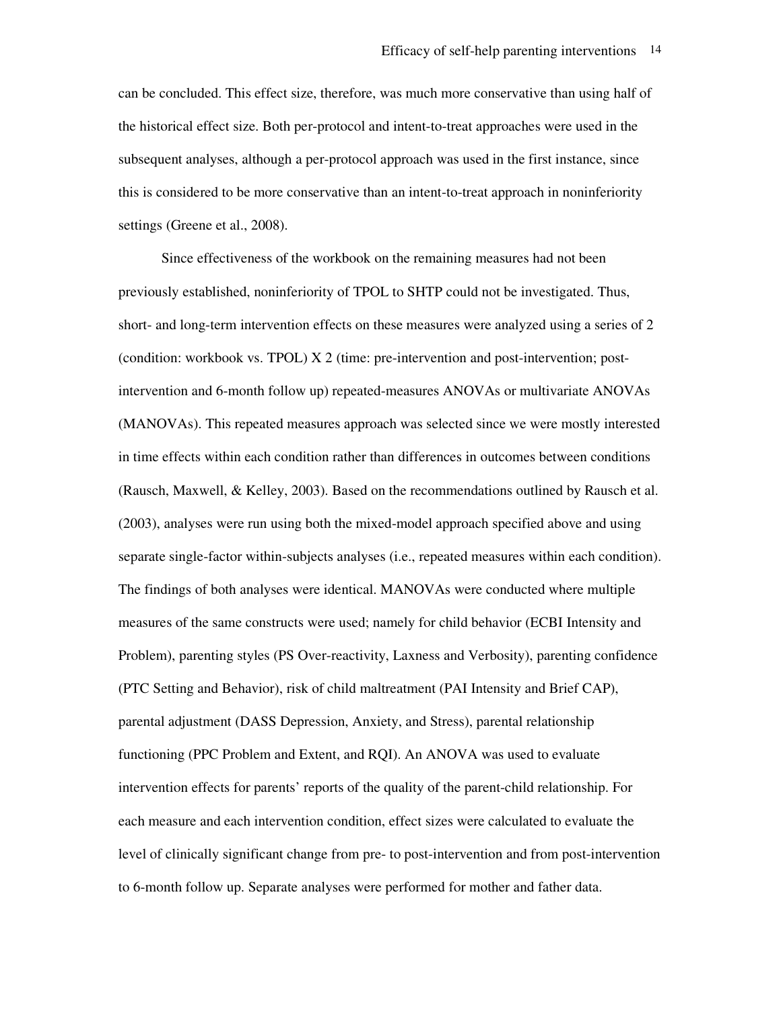can be concluded. This effect size, therefore, was much more conservative than using half of the historical effect size. Both per-protocol and intent-to-treat approaches were used in the subsequent analyses, although a per-protocol approach was used in the first instance, since this is considered to be more conservative than an intent-to-treat approach in noninferiority settings (Greene et al., 2008).

 Since effectiveness of the workbook on the remaining measures had not been previously established, noninferiority of TPOL to SHTP could not be investigated. Thus, short- and long-term intervention effects on these measures were analyzed using a series of 2 (condition: workbook vs. TPOL) X 2 (time: pre-intervention and post-intervention; postintervention and 6-month follow up) repeated-measures ANOVAs or multivariate ANOVAs (MANOVAs). This repeated measures approach was selected since we were mostly interested in time effects within each condition rather than differences in outcomes between conditions (Rausch, Maxwell, & Kelley, 2003). Based on the recommendations outlined by Rausch et al. (2003), analyses were run using both the mixed-model approach specified above and using separate single-factor within-subjects analyses (i.e., repeated measures within each condition). The findings of both analyses were identical. MANOVAs were conducted where multiple measures of the same constructs were used; namely for child behavior (ECBI Intensity and Problem), parenting styles (PS Over-reactivity, Laxness and Verbosity), parenting confidence (PTC Setting and Behavior), risk of child maltreatment (PAI Intensity and Brief CAP), parental adjustment (DASS Depression, Anxiety, and Stress), parental relationship functioning (PPC Problem and Extent, and RQI). An ANOVA was used to evaluate intervention effects for parents' reports of the quality of the parent-child relationship. For each measure and each intervention condition, effect sizes were calculated to evaluate the level of clinically significant change from pre- to post-intervention and from post-intervention to 6-month follow up. Separate analyses were performed for mother and father data.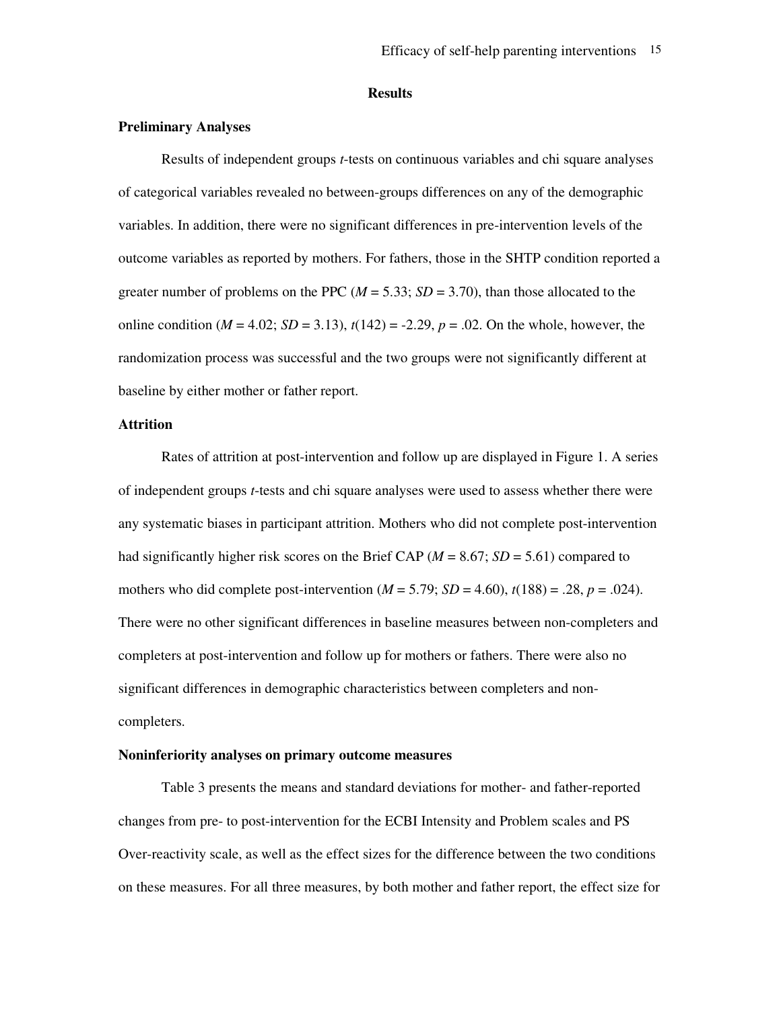### **Results**

### **Preliminary Analyses**

Results of independent groups *t*-tests on continuous variables and chi square analyses of categorical variables revealed no between-groups differences on any of the demographic variables. In addition, there were no significant differences in pre-intervention levels of the outcome variables as reported by mothers. For fathers, those in the SHTP condition reported a greater number of problems on the PPC (*M* = 5.33; *SD* = 3.70), than those allocated to the online condition  $(M = 4.02; SD = 3.13)$ ,  $t(142) = -2.29$ ,  $p = .02$ . On the whole, however, the randomization process was successful and the two groups were not significantly different at baseline by either mother or father report.

#### **Attrition**

Rates of attrition at post-intervention and follow up are displayed in Figure 1. A series of independent groups *t*-tests and chi square analyses were used to assess whether there were any systematic biases in participant attrition. Mothers who did not complete post-intervention had significantly higher risk scores on the Brief CAP ( $M = 8.67$ ;  $SD = 5.61$ ) compared to mothers who did complete post-intervention  $(M = 5.79; SD = 4.60)$ ,  $t(188) = .28$ ,  $p = .024$ ). There were no other significant differences in baseline measures between non-completers and completers at post-intervention and follow up for mothers or fathers. There were also no significant differences in demographic characteristics between completers and noncompleters.

### **Noninferiority analyses on primary outcome measures**

 Table 3 presents the means and standard deviations for mother- and father-reported changes from pre- to post-intervention for the ECBI Intensity and Problem scales and PS Over-reactivity scale, as well as the effect sizes for the difference between the two conditions on these measures. For all three measures, by both mother and father report, the effect size for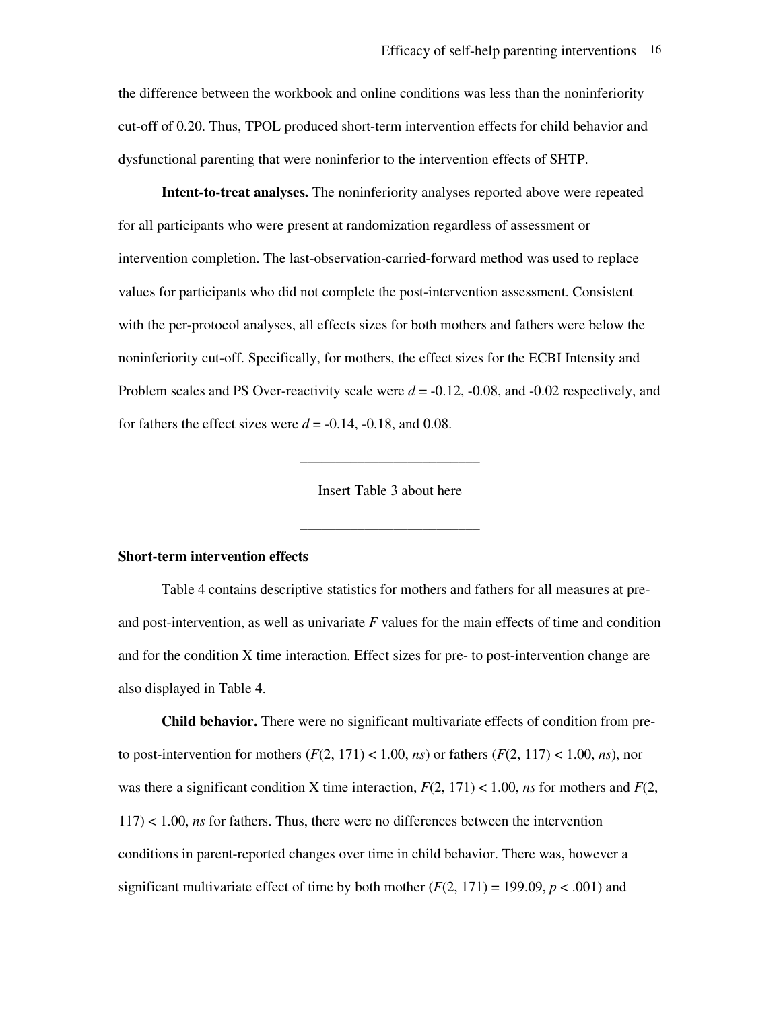the difference between the workbook and online conditions was less than the noninferiority cut-off of 0.20. Thus, TPOL produced short-term intervention effects for child behavior and dysfunctional parenting that were noninferior to the intervention effects of SHTP.

**Intent-to-treat analyses.** The noninferiority analyses reported above were repeated for all participants who were present at randomization regardless of assessment or intervention completion. The last-observation-carried-forward method was used to replace values for participants who did not complete the post-intervention assessment. Consistent with the per-protocol analyses, all effects sizes for both mothers and fathers were below the noninferiority cut-off. Specifically, for mothers, the effect sizes for the ECBI Intensity and Problem scales and PS Over-reactivity scale were  $d = -0.12$ ,  $-0.08$ , and  $-0.02$  respectively, and for fathers the effect sizes were  $d = -0.14, -0.18,$  and 0.08.

Insert Table 3 about here

\_\_\_\_\_\_\_\_\_\_\_\_\_\_\_\_\_\_\_\_\_\_\_\_\_

\_\_\_\_\_\_\_\_\_\_\_\_\_\_\_\_\_\_\_\_\_\_\_\_\_

### **Short-term intervention effects**

Table 4 contains descriptive statistics for mothers and fathers for all measures at preand post-intervention, as well as univariate *F* values for the main effects of time and condition and for the condition X time interaction. Effect sizes for pre- to post-intervention change are also displayed in Table 4.

**Child behavior.** There were no significant multivariate effects of condition from preto post-intervention for mothers  $(F(2, 171) < 1.00, ns)$  or fathers  $(F(2, 117) < 1.00, ns)$ , nor was there a significant condition X time interaction,  $F(2, 171) < 1.00$ , *ns* for mothers and  $F(2, 171)$ 117) < 1.00, *ns* for fathers. Thus, there were no differences between the intervention conditions in parent-reported changes over time in child behavior. There was, however a significant multivariate effect of time by both mother  $(F(2, 171) = 199.09, p < .001)$  and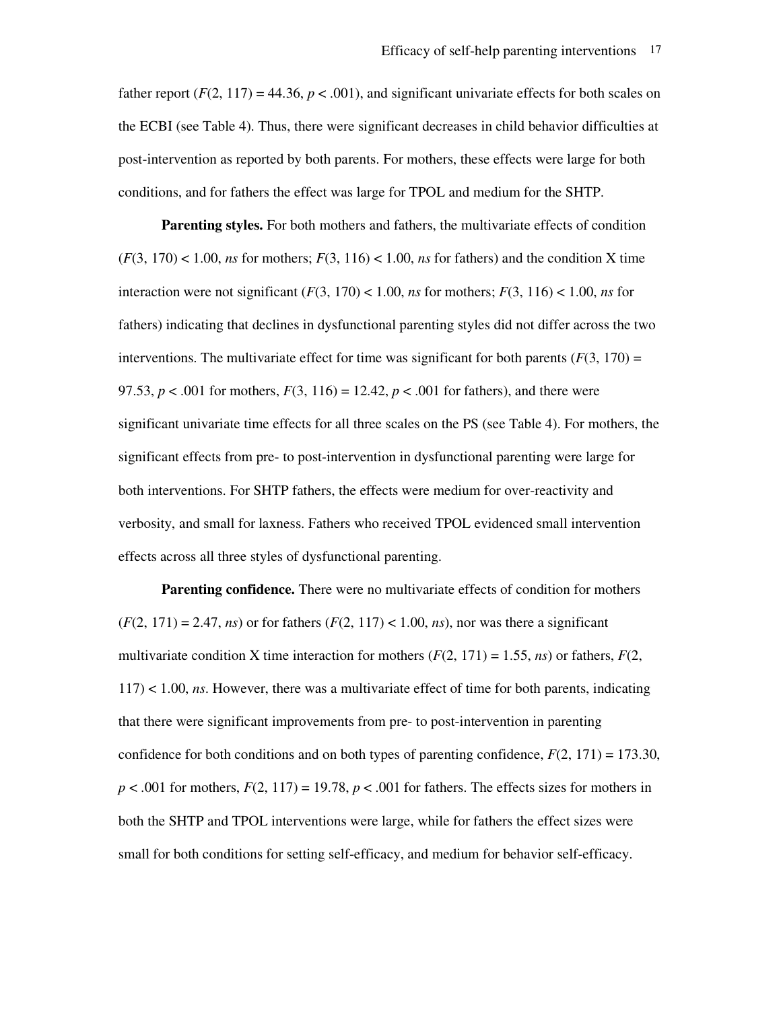father report  $(F(2, 117) = 44.36, p < .001)$ , and significant univariate effects for both scales on the ECBI (see Table 4). Thus, there were significant decreases in child behavior difficulties at post-intervention as reported by both parents. For mothers, these effects were large for both conditions, and for fathers the effect was large for TPOL and medium for the SHTP.

**Parenting styles.** For both mothers and fathers, the multivariate effects of condition  $(F(3, 170) < 1.00$ , *ns* for mothers;  $F(3, 116) < 1.00$ , *ns* for fathers) and the condition X time interaction were not significant  $(F(3, 170) < 1.00$ , *ns* for mothers;  $F(3, 116) < 1.00$ , *ns* for fathers) indicating that declines in dysfunctional parenting styles did not differ across the two interventions. The multivariate effect for time was significant for both parents  $(F(3, 170)) =$ 97.53,  $p < .001$  for mothers,  $F(3, 116) = 12.42$ ,  $p < .001$  for fathers), and there were significant univariate time effects for all three scales on the PS (see Table 4). For mothers, the significant effects from pre- to post-intervention in dysfunctional parenting were large for both interventions. For SHTP fathers, the effects were medium for over-reactivity and verbosity, and small for laxness. Fathers who received TPOL evidenced small intervention effects across all three styles of dysfunctional parenting.

**Parenting confidence.** There were no multivariate effects of condition for mothers  $(F(2, 171) = 2.47, ns)$  or for fathers  $(F(2, 117) < 1.00, ns)$ , nor was there a significant multivariate condition X time interaction for mothers  $(F(2, 171) = 1.55, ns)$  or fathers,  $F(2,$ 117) < 1.00, *ns*. However, there was a multivariate effect of time for both parents, indicating that there were significant improvements from pre- to post-intervention in parenting confidence for both conditions and on both types of parenting confidence, *F*(2, 171) = 173.30,  $p < .001$  for mothers,  $F(2, 117) = 19.78$ ,  $p < .001$  for fathers. The effects sizes for mothers in both the SHTP and TPOL interventions were large, while for fathers the effect sizes were small for both conditions for setting self-efficacy, and medium for behavior self-efficacy.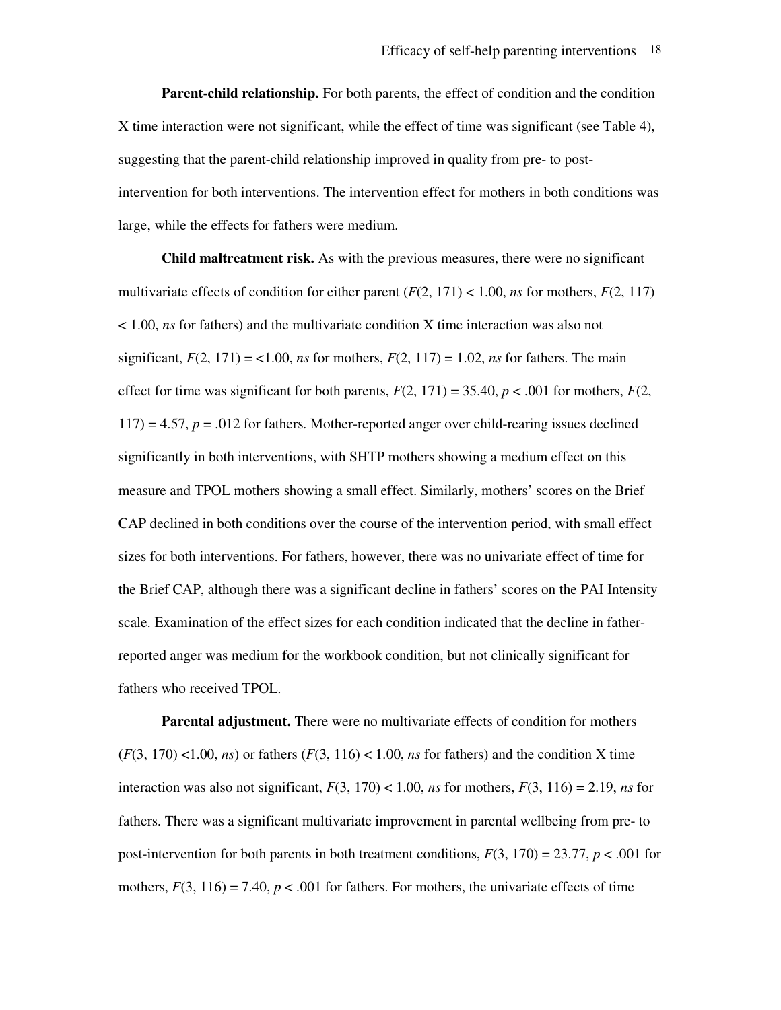**Parent-child relationship.** For both parents, the effect of condition and the condition X time interaction were not significant, while the effect of time was significant (see Table 4), suggesting that the parent-child relationship improved in quality from pre- to postintervention for both interventions. The intervention effect for mothers in both conditions was large, while the effects for fathers were medium.

**Child maltreatment risk.** As with the previous measures, there were no significant multivariate effects of condition for either parent  $(F(2, 171) < 1.00$ , *ns* for mothers,  $F(2, 117)$ < 1.00, *ns* for fathers) and the multivariate condition X time interaction was also not significant,  $F(2, 171) = 1.00$ , *ns* for mothers,  $F(2, 117) = 1.02$ , *ns* for fathers. The main effect for time was significant for both parents,  $F(2, 171) = 35.40$ ,  $p < .001$  for mothers,  $F(2, 171) = .001$  $117$ ) = 4.57,  $p = .012$  for fathers. Mother-reported anger over child-rearing issues declined significantly in both interventions, with SHTP mothers showing a medium effect on this measure and TPOL mothers showing a small effect. Similarly, mothers' scores on the Brief CAP declined in both conditions over the course of the intervention period, with small effect sizes for both interventions. For fathers, however, there was no univariate effect of time for the Brief CAP, although there was a significant decline in fathers' scores on the PAI Intensity scale. Examination of the effect sizes for each condition indicated that the decline in fatherreported anger was medium for the workbook condition, but not clinically significant for fathers who received TPOL.

**Parental adjustment.** There were no multivariate effects of condition for mothers  $(F(3, 170)$  <1.00, *ns*) or fathers  $(F(3, 116)$  < 1.00, *ns* for fathers) and the condition X time interaction was also not significant,  $F(3, 170) < 1.00$ , *ns* for mothers,  $F(3, 116) = 2.19$ , *ns* for fathers. There was a significant multivariate improvement in parental wellbeing from pre- to post-intervention for both parents in both treatment conditions,  $F(3, 170) = 23.77$ ,  $p < .001$  for mothers,  $F(3, 116) = 7.40$ ,  $p < .001$  for fathers. For mothers, the univariate effects of time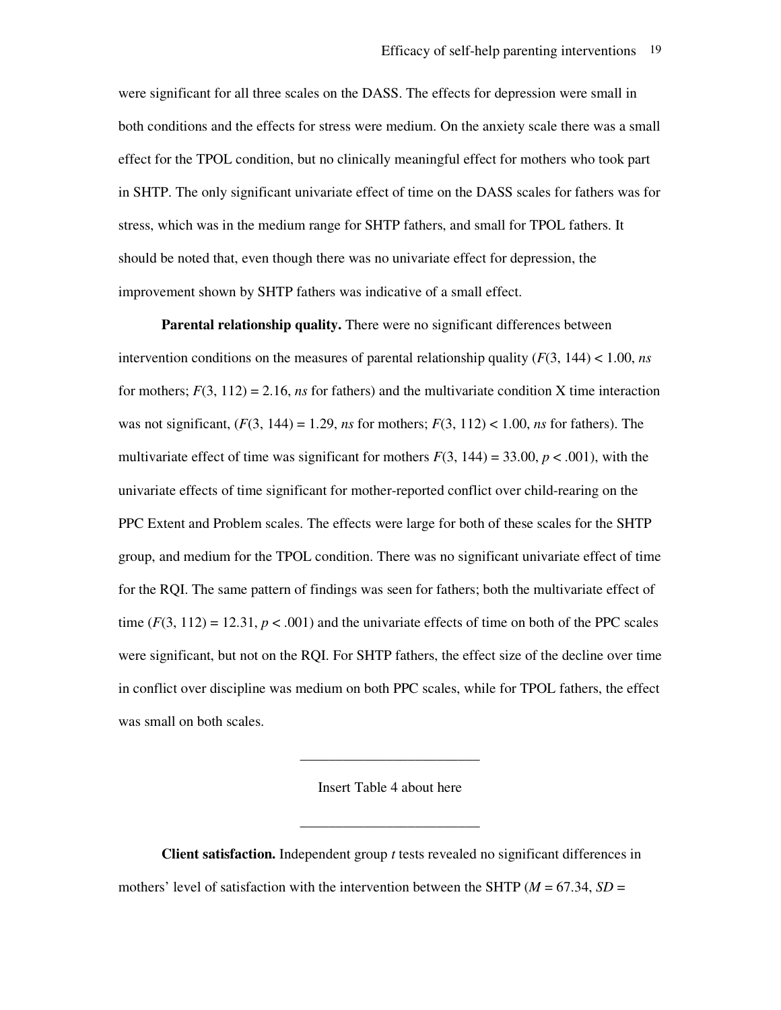were significant for all three scales on the DASS. The effects for depression were small in both conditions and the effects for stress were medium. On the anxiety scale there was a small effect for the TPOL condition, but no clinically meaningful effect for mothers who took part in SHTP. The only significant univariate effect of time on the DASS scales for fathers was for stress, which was in the medium range for SHTP fathers, and small for TPOL fathers. It should be noted that, even though there was no univariate effect for depression, the improvement shown by SHTP fathers was indicative of a small effect.

**Parental relationship quality.** There were no significant differences between intervention conditions on the measures of parental relationship quality (*F*(3, 144) < 1.00, *ns* for mothers;  $F(3, 112) = 2.16$ , *ns* for fathers) and the multivariate condition X time interaction was not significant,  $(F(3, 144) = 1.29$ , *ns* for mothers;  $F(3, 112) < 1.00$ , *ns* for fathers). The multivariate effect of time was significant for mothers  $F(3, 144) = 33.00$ ,  $p < .001$ ), with the univariate effects of time significant for mother-reported conflict over child-rearing on the PPC Extent and Problem scales. The effects were large for both of these scales for the SHTP group, and medium for the TPOL condition. There was no significant univariate effect of time for the RQI. The same pattern of findings was seen for fathers; both the multivariate effect of time  $(F(3, 112) = 12.31, p < .001)$  and the univariate effects of time on both of the PPC scales were significant, but not on the RQI. For SHTP fathers, the effect size of the decline over time in conflict over discipline was medium on both PPC scales, while for TPOL fathers, the effect was small on both scales.

Insert Table 4 about here

\_\_\_\_\_\_\_\_\_\_\_\_\_\_\_\_\_\_\_\_\_\_\_\_\_

\_\_\_\_\_\_\_\_\_\_\_\_\_\_\_\_\_\_\_\_\_\_\_\_\_

**Client satisfaction.** Independent group *t* tests revealed no significant differences in mothers' level of satisfaction with the intervention between the SHTP ( $M = 67.34$ ,  $SD =$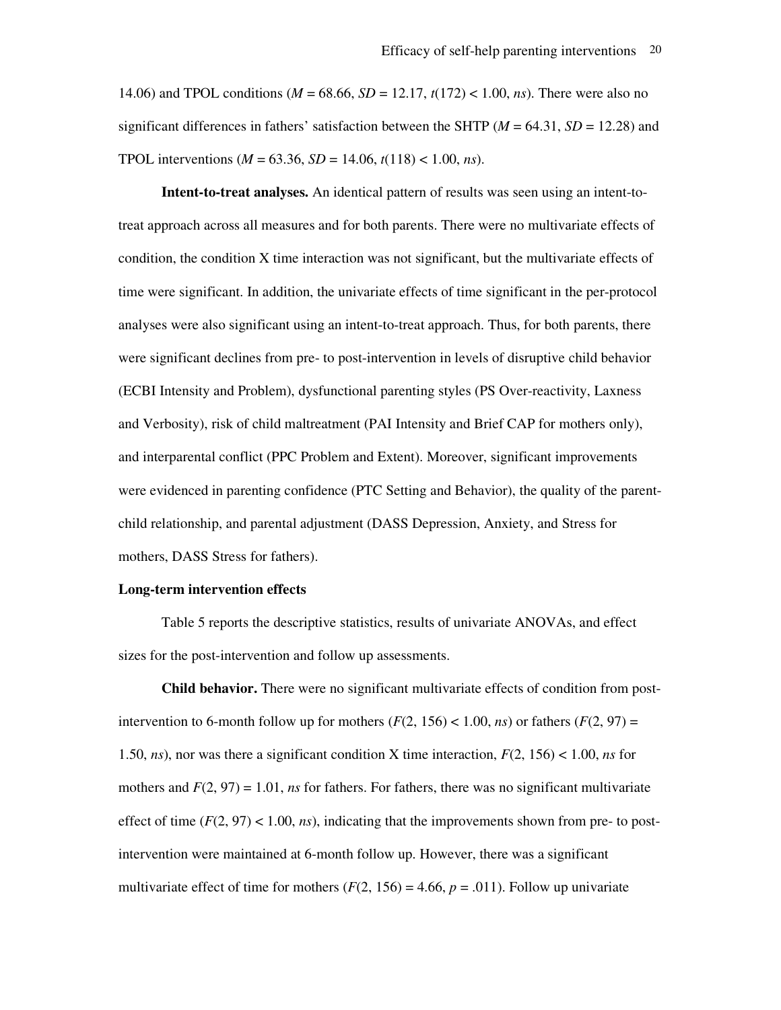14.06) and TPOL conditions (*M* = 68.66, *SD* = 12.17, *t*(172) < 1.00, *ns*). There were also no significant differences in fathers' satisfaction between the SHTP (*M* = 64.31, *SD* = 12.28) and TPOL interventions ( $M = 63.36$ ,  $SD = 14.06$ ,  $t(118) < 1.00$ , *ns*).

**Intent-to-treat analyses.** An identical pattern of results was seen using an intent-totreat approach across all measures and for both parents. There were no multivariate effects of condition, the condition X time interaction was not significant, but the multivariate effects of time were significant. In addition, the univariate effects of time significant in the per-protocol analyses were also significant using an intent-to-treat approach. Thus, for both parents, there were significant declines from pre- to post-intervention in levels of disruptive child behavior (ECBI Intensity and Problem), dysfunctional parenting styles (PS Over-reactivity, Laxness and Verbosity), risk of child maltreatment (PAI Intensity and Brief CAP for mothers only), and interparental conflict (PPC Problem and Extent). Moreover, significant improvements were evidenced in parenting confidence (PTC Setting and Behavior), the quality of the parentchild relationship, and parental adjustment (DASS Depression, Anxiety, and Stress for mothers, DASS Stress for fathers).

### **Long-term intervention effects**

 Table 5 reports the descriptive statistics, results of univariate ANOVAs, and effect sizes for the post-intervention and follow up assessments.

**Child behavior.** There were no significant multivariate effects of condition from postintervention to 6-month follow up for mothers  $(F(2, 156) < 1.00, ns)$  or fathers  $(F(2, 97) =$ 1.50, *ns*), nor was there a significant condition X time interaction, *F*(2, 156) < 1.00, *ns* for mothers and  $F(2, 97) = 1.01$ , *ns* for fathers. For fathers, there was no significant multivariate effect of time  $(F(2, 97) < 1.00, ns)$ , indicating that the improvements shown from pre- to postintervention were maintained at 6-month follow up. However, there was a significant multivariate effect of time for mothers  $(F(2, 156) = 4.66, p = .011)$ . Follow up univariate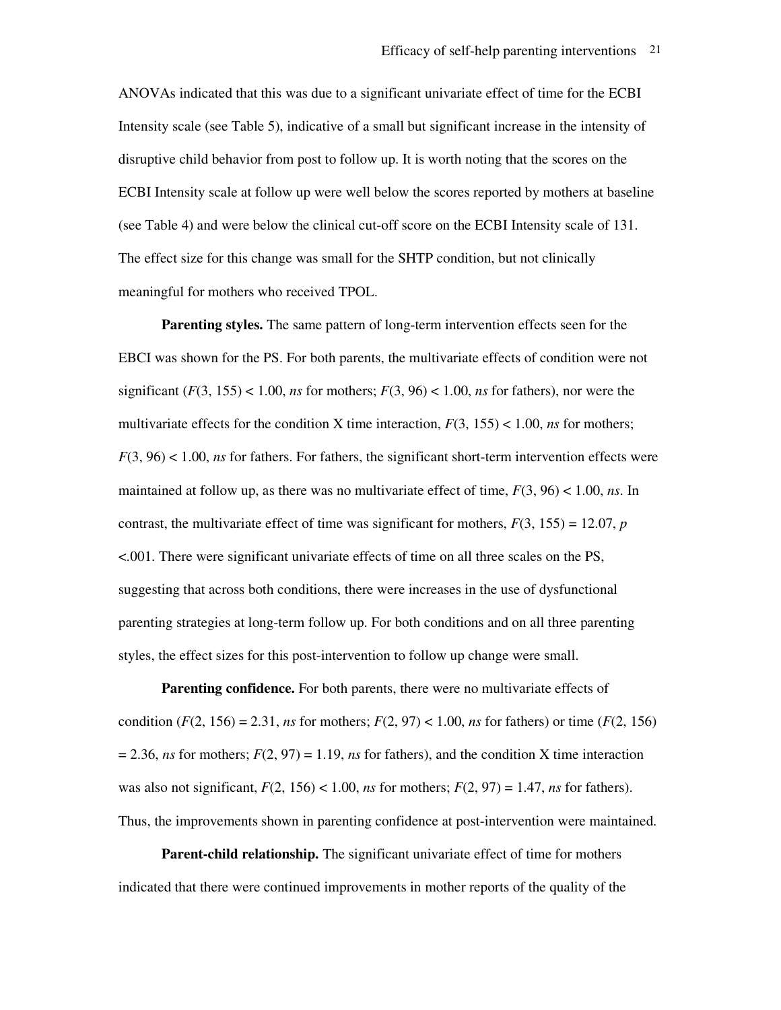ANOVAs indicated that this was due to a significant univariate effect of time for the ECBI Intensity scale (see Table 5), indicative of a small but significant increase in the intensity of disruptive child behavior from post to follow up. It is worth noting that the scores on the ECBI Intensity scale at follow up were well below the scores reported by mothers at baseline (see Table 4) and were below the clinical cut-off score on the ECBI Intensity scale of 131. The effect size for this change was small for the SHTP condition, but not clinically meaningful for mothers who received TPOL.

**Parenting styles.** The same pattern of long-term intervention effects seen for the EBCI was shown for the PS. For both parents, the multivariate effects of condition were not significant  $(F(3, 155) < 1.00$ , *ns* for mothers;  $F(3, 96) < 1.00$ , *ns* for fathers), nor were the multivariate effects for the condition X time interaction,  $F(3, 155) < 1.00$ , *ns* for mothers; *F*(3, 96) < 1.00, *ns* for fathers. For fathers, the significant short-term intervention effects were maintained at follow up, as there was no multivariate effect of time, *F*(3, 96) < 1.00, *ns*. In contrast, the multivariate effect of time was significant for mothers,  $F(3, 155) = 12.07$ , *p* <.001. There were significant univariate effects of time on all three scales on the PS, suggesting that across both conditions, there were increases in the use of dysfunctional parenting strategies at long-term follow up. For both conditions and on all three parenting styles, the effect sizes for this post-intervention to follow up change were small.

**Parenting confidence.** For both parents, there were no multivariate effects of condition  $(F(2, 156) = 2.31$ , *ns* for mothers;  $F(2, 97) < 1.00$ , *ns* for fathers) or time  $(F(2, 156))$  $= 2.36$ , *ns* for mothers;  $F(2, 97) = 1.19$ , *ns* for fathers), and the condition X time interaction was also not significant,  $F(2, 156) < 1.00$ , *ns* for mothers;  $F(2, 97) = 1.47$ , *ns* for fathers). Thus, the improvements shown in parenting confidence at post-intervention were maintained.

**Parent-child relationship.** The significant univariate effect of time for mothers indicated that there were continued improvements in mother reports of the quality of the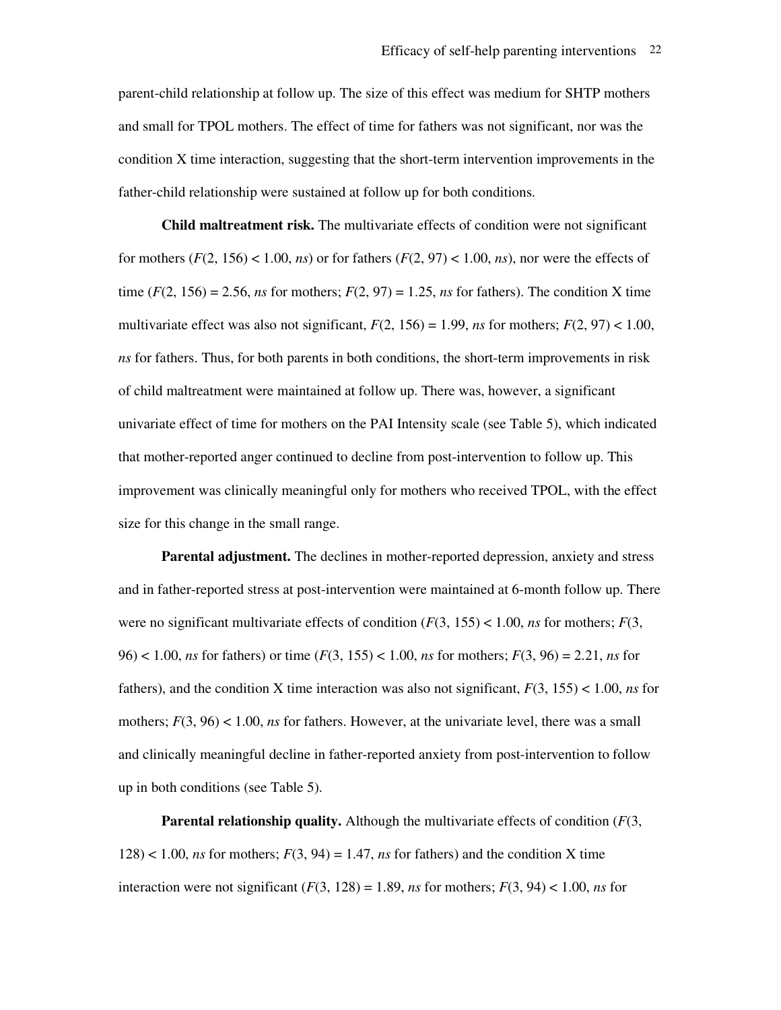parent-child relationship at follow up. The size of this effect was medium for SHTP mothers and small for TPOL mothers. The effect of time for fathers was not significant, nor was the condition X time interaction, suggesting that the short-term intervention improvements in the father-child relationship were sustained at follow up for both conditions.

**Child maltreatment risk.** The multivariate effects of condition were not significant for mothers  $(F(2, 156) < 1.00, ns)$  or for fathers  $(F(2, 97) < 1.00, ns)$ , nor were the effects of time  $(F(2, 156) = 2.56$ , *ns* for mothers;  $F(2, 97) = 1.25$ , *ns* for fathers). The condition X time multivariate effect was also not significant,  $F(2, 156) = 1.99$ , *ns* for mothers;  $F(2, 97) < 1.00$ , *ns* for fathers. Thus, for both parents in both conditions, the short-term improvements in risk of child maltreatment were maintained at follow up. There was, however, a significant univariate effect of time for mothers on the PAI Intensity scale (see Table 5), which indicated that mother-reported anger continued to decline from post-intervention to follow up. This improvement was clinically meaningful only for mothers who received TPOL, with the effect size for this change in the small range.

**Parental adjustment.** The declines in mother-reported depression, anxiety and stress and in father-reported stress at post-intervention were maintained at 6-month follow up. There were no significant multivariate effects of condition  $(F(3, 155) < 1.00$ , *ns* for mothers;  $F(3, 155) < 1.00$ , *ns* for mothers; 96) < 1.00, *ns* for fathers) or time (*F*(3, 155) < 1.00, *ns* for mothers; *F*(3, 96) = 2.21, *ns* for fathers), and the condition X time interaction was also not significant, *F*(3, 155) < 1.00, *ns* for mothers; *F*(3, 96) < 1.00, *ns* for fathers. However, at the univariate level, there was a small and clinically meaningful decline in father-reported anxiety from post-intervention to follow up in both conditions (see Table 5).

**Parental relationship quality.** Although the multivariate effects of condition (*F*(3,  $128$  < 1.00, *ns* for mothers;  $F(3, 94) = 1.47$ , *ns* for fathers) and the condition X time interaction were not significant  $(F(3, 128) = 1.89$ , *ns* for mothers;  $F(3, 94) < 1.00$ , *ns* for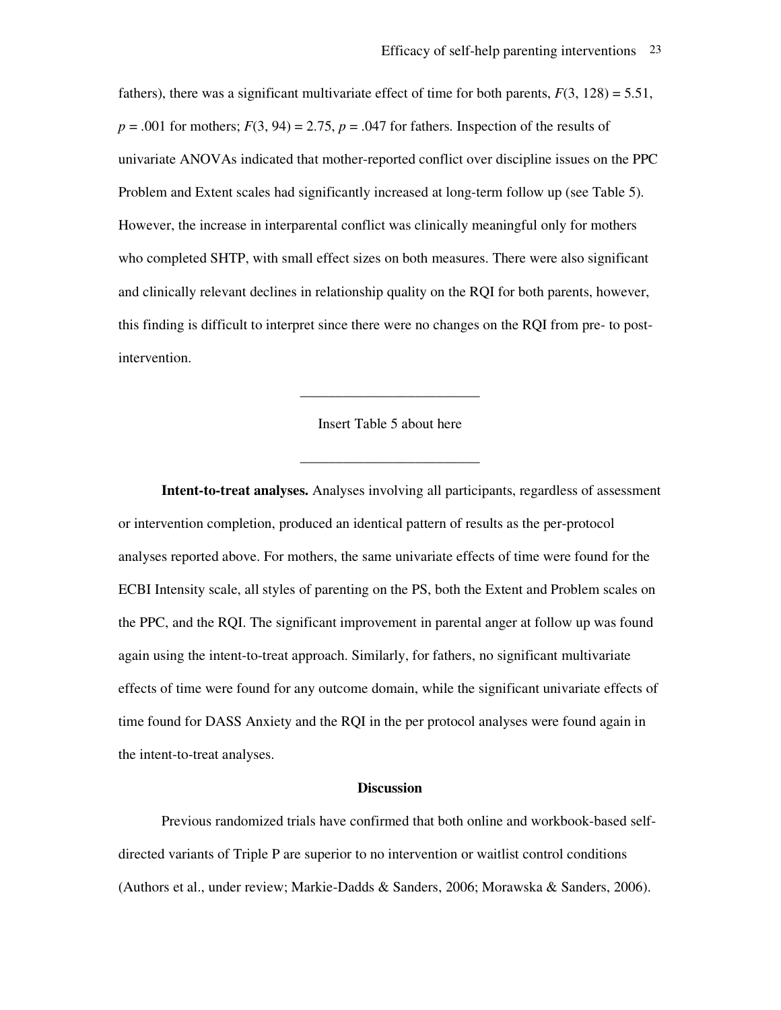fathers), there was a significant multivariate effect of time for both parents,  $F(3, 128) = 5.51$ ,  $p = .001$  for mothers;  $F(3, 94) = 2.75$ ,  $p = .047$  for fathers. Inspection of the results of univariate ANOVAs indicated that mother-reported conflict over discipline issues on the PPC Problem and Extent scales had significantly increased at long-term follow up (see Table 5). However, the increase in interparental conflict was clinically meaningful only for mothers who completed SHTP, with small effect sizes on both measures. There were also significant and clinically relevant declines in relationship quality on the RQI for both parents, however, this finding is difficult to interpret since there were no changes on the RQI from pre- to postintervention.

### Insert Table 5 about here

\_\_\_\_\_\_\_\_\_\_\_\_\_\_\_\_\_\_\_\_\_\_\_\_\_

\_\_\_\_\_\_\_\_\_\_\_\_\_\_\_\_\_\_\_\_\_\_\_\_\_

**Intent-to-treat analyses.** Analyses involving all participants, regardless of assessment or intervention completion, produced an identical pattern of results as the per-protocol analyses reported above. For mothers, the same univariate effects of time were found for the ECBI Intensity scale, all styles of parenting on the PS, both the Extent and Problem scales on the PPC, and the RQI. The significant improvement in parental anger at follow up was found again using the intent-to-treat approach. Similarly, for fathers, no significant multivariate effects of time were found for any outcome domain, while the significant univariate effects of time found for DASS Anxiety and the RQI in the per protocol analyses were found again in the intent-to-treat analyses.

#### **Discussion**

Previous randomized trials have confirmed that both online and workbook-based selfdirected variants of Triple P are superior to no intervention or waitlist control conditions (Authors et al., under review; Markie-Dadds & Sanders, 2006; Morawska & Sanders, 2006).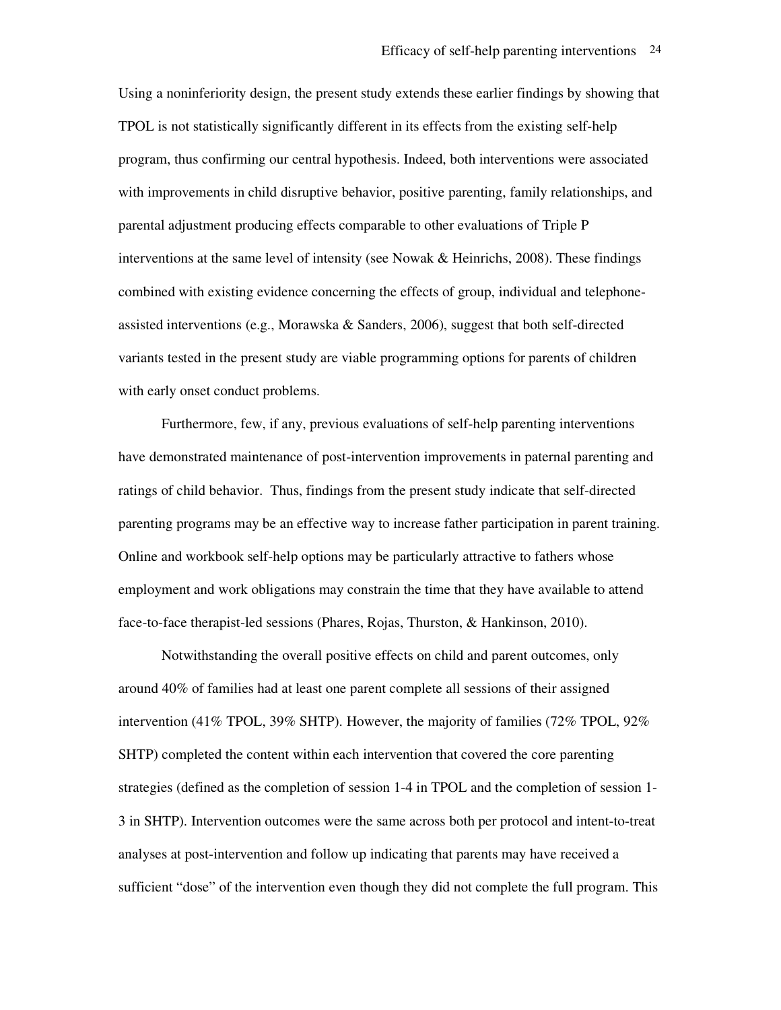Using a noninferiority design, the present study extends these earlier findings by showing that TPOL is not statistically significantly different in its effects from the existing self-help program, thus confirming our central hypothesis. Indeed, both interventions were associated with improvements in child disruptive behavior, positive parenting, family relationships, and parental adjustment producing effects comparable to other evaluations of Triple P interventions at the same level of intensity (see Nowak  $&$  Heinrichs, 2008). These findings combined with existing evidence concerning the effects of group, individual and telephoneassisted interventions (e.g., Morawska & Sanders, 2006), suggest that both self-directed variants tested in the present study are viable programming options for parents of children with early onset conduct problems.

Furthermore, few, if any, previous evaluations of self-help parenting interventions have demonstrated maintenance of post-intervention improvements in paternal parenting and ratings of child behavior. Thus, findings from the present study indicate that self-directed parenting programs may be an effective way to increase father participation in parent training. Online and workbook self-help options may be particularly attractive to fathers whose employment and work obligations may constrain the time that they have available to attend face-to-face therapist-led sessions (Phares, Rojas, Thurston, & Hankinson, 2010).

Notwithstanding the overall positive effects on child and parent outcomes, only around 40% of families had at least one parent complete all sessions of their assigned intervention (41% TPOL, 39% SHTP). However, the majority of families (72% TPOL, 92% SHTP) completed the content within each intervention that covered the core parenting strategies (defined as the completion of session 1-4 in TPOL and the completion of session 1- 3 in SHTP). Intervention outcomes were the same across both per protocol and intent-to-treat analyses at post-intervention and follow up indicating that parents may have received a sufficient "dose" of the intervention even though they did not complete the full program. This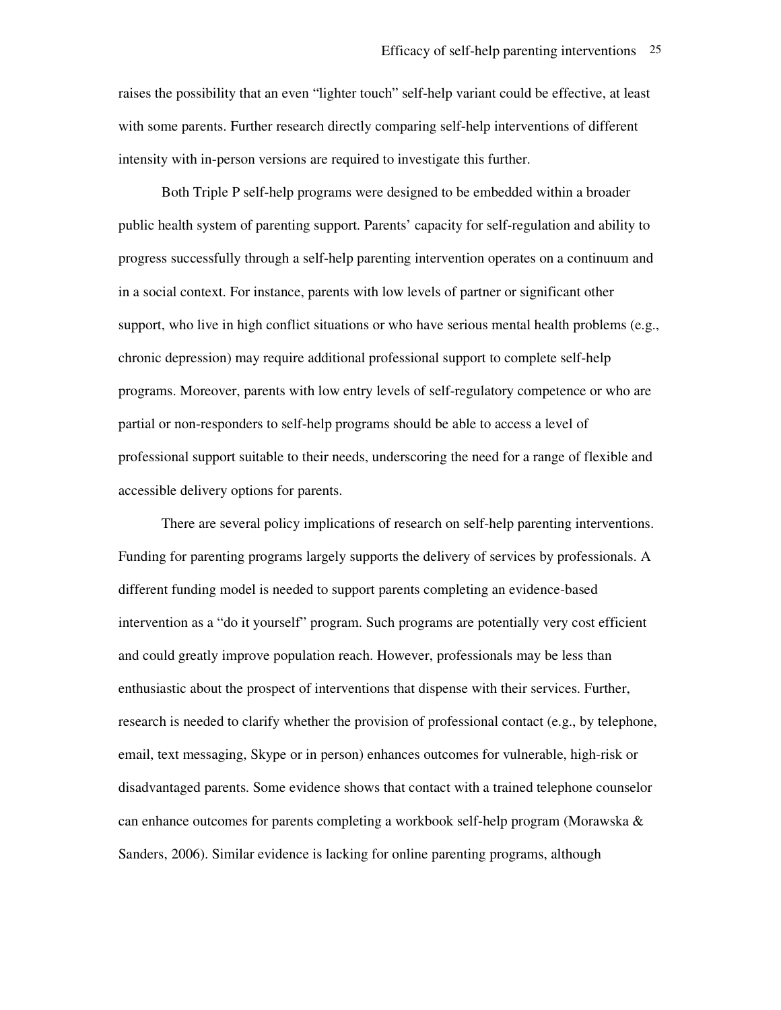raises the possibility that an even "lighter touch" self-help variant could be effective, at least with some parents. Further research directly comparing self-help interventions of different intensity with in-person versions are required to investigate this further.

Both Triple P self-help programs were designed to be embedded within a broader public health system of parenting support. Parents' capacity for self-regulation and ability to progress successfully through a self-help parenting intervention operates on a continuum and in a social context. For instance, parents with low levels of partner or significant other support, who live in high conflict situations or who have serious mental health problems (e.g., chronic depression) may require additional professional support to complete self-help programs. Moreover, parents with low entry levels of self-regulatory competence or who are partial or non-responders to self-help programs should be able to access a level of professional support suitable to their needs, underscoring the need for a range of flexible and accessible delivery options for parents.

There are several policy implications of research on self-help parenting interventions. Funding for parenting programs largely supports the delivery of services by professionals. A different funding model is needed to support parents completing an evidence-based intervention as a "do it yourself" program. Such programs are potentially very cost efficient and could greatly improve population reach. However, professionals may be less than enthusiastic about the prospect of interventions that dispense with their services. Further, research is needed to clarify whether the provision of professional contact (e.g., by telephone, email, text messaging, Skype or in person) enhances outcomes for vulnerable, high-risk or disadvantaged parents. Some evidence shows that contact with a trained telephone counselor can enhance outcomes for parents completing a workbook self-help program (Morawska & Sanders, 2006). Similar evidence is lacking for online parenting programs, although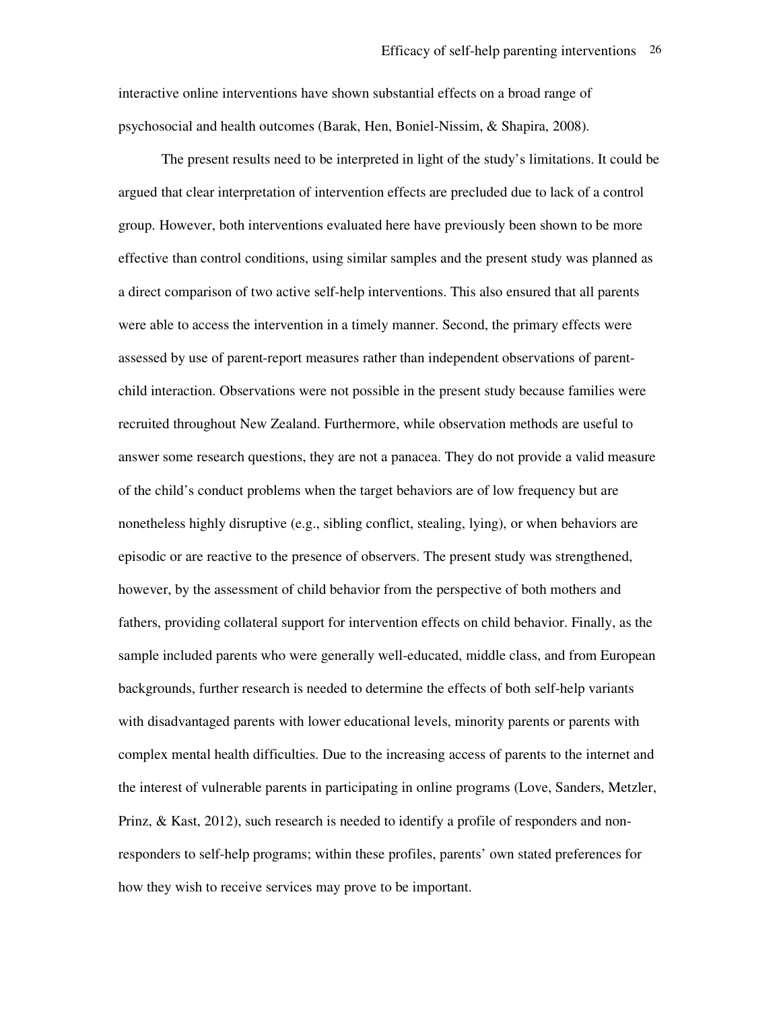interactive online interventions have shown substantial effects on a broad range of psychosocial and health outcomes (Barak, Hen, Boniel-Nissim, & Shapira, 2008).

The present results need to be interpreted in light of the study's limitations. It could be argued that clear interpretation of intervention effects are precluded due to lack of a control group. However, both interventions evaluated here have previously been shown to be more effective than control conditions, using similar samples and the present study was planned as a direct comparison of two active self-help interventions. This also ensured that all parents were able to access the intervention in a timely manner. Second, the primary effects were assessed by use of parent-report measures rather than independent observations of parentchild interaction. Observations were not possible in the present study because families were recruited throughout New Zealand. Furthermore, while observation methods are useful to answer some research questions, they are not a panacea. They do not provide a valid measure of the child's conduct problems when the target behaviors are of low frequency but are nonetheless highly disruptive (e.g., sibling conflict, stealing, lying), or when behaviors are episodic or are reactive to the presence of observers. The present study was strengthened, however, by the assessment of child behavior from the perspective of both mothers and fathers, providing collateral support for intervention effects on child behavior. Finally, as the sample included parents who were generally well-educated, middle class, and from European backgrounds, further research is needed to determine the effects of both self-help variants with disadvantaged parents with lower educational levels, minority parents or parents with complex mental health difficulties. Due to the increasing access of parents to the internet and the interest of vulnerable parents in participating in online programs (Love, Sanders, Metzler, Prinz, & Kast, 2012), such research is needed to identify a profile of responders and nonresponders to self-help programs; within these profiles, parents' own stated preferences for how they wish to receive services may prove to be important.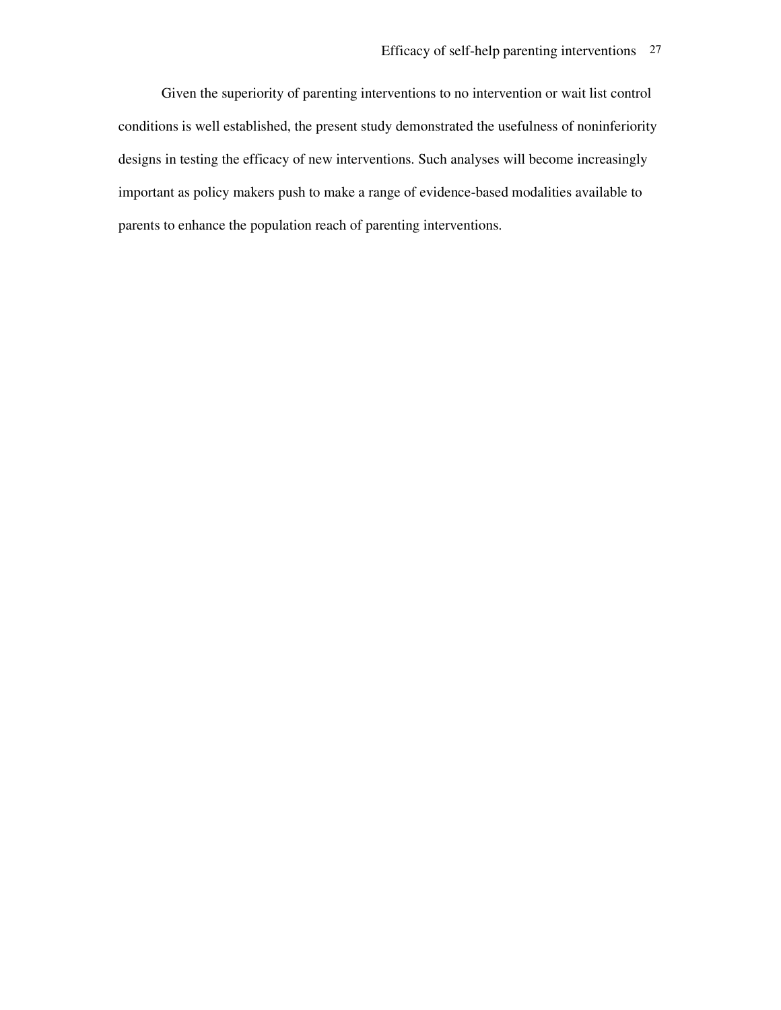Given the superiority of parenting interventions to no intervention or wait list control conditions is well established, the present study demonstrated the usefulness of noninferiority designs in testing the efficacy of new interventions. Such analyses will become increasingly important as policy makers push to make a range of evidence-based modalities available to parents to enhance the population reach of parenting interventions.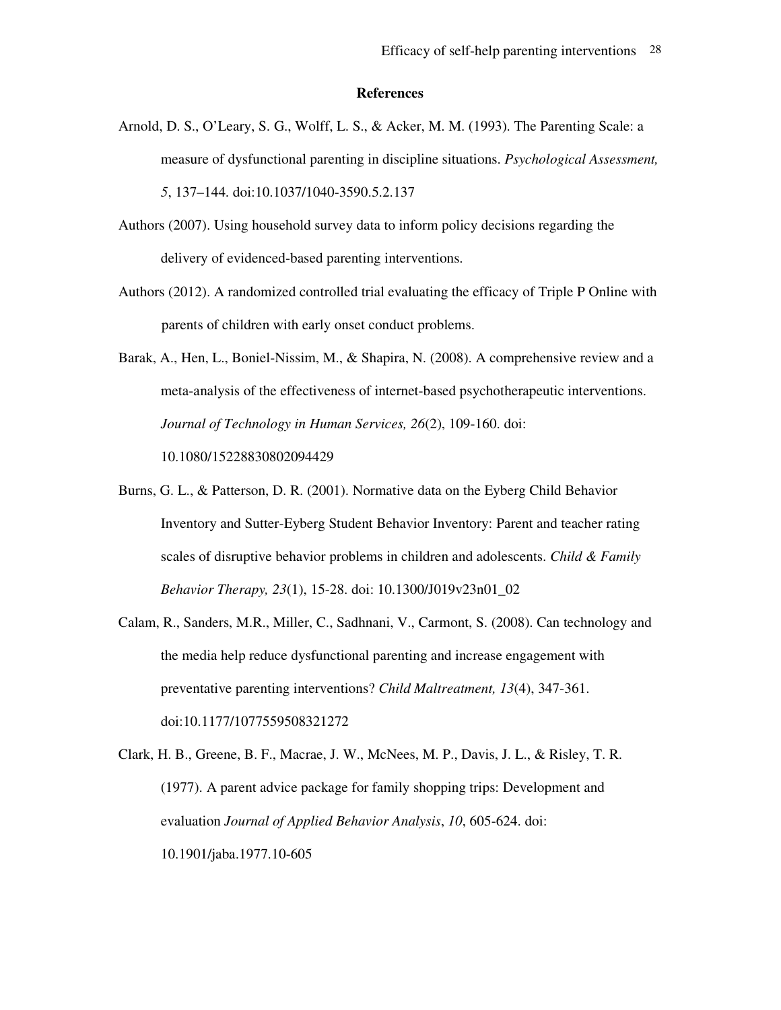#### **References**

- Arnold, D. S., O'Leary, S. G., Wolff, L. S., & Acker, M. M. (1993). The Parenting Scale: a measure of dysfunctional parenting in discipline situations. *Psychological Assessment, 5*, 137–144. doi:10.1037/1040-3590.5.2.137
- Authors (2007). Using household survey data to inform policy decisions regarding the delivery of evidenced-based parenting interventions.
- Authors (2012). A randomized controlled trial evaluating the efficacy of Triple P Online with parents of children with early onset conduct problems.
- Barak, A., Hen, L., Boniel-Nissim, M., & Shapira, N. (2008). A comprehensive review and a meta-analysis of the effectiveness of internet-based psychotherapeutic interventions. *Journal of Technology in Human Services, 26*(2), 109-160. doi: 10.1080/15228830802094429
- Burns, G. L., & Patterson, D. R. (2001). Normative data on the Eyberg Child Behavior Inventory and Sutter-Eyberg Student Behavior Inventory: Parent and teacher rating scales of disruptive behavior problems in children and adolescents. *Child & Family Behavior Therapy, 23*(1), 15-28. doi: 10.1300/J019v23n01\_02
- Calam, R., Sanders, M.R., Miller, C., Sadhnani, V., Carmont, S. (2008). Can technology and the media help reduce dysfunctional parenting and increase engagement with preventative parenting interventions? *Child Maltreatment, 13*(4), 347-361. doi:10.1177/1077559508321272
- Clark, H. B., Greene, B. F., Macrae, J. W., McNees, M. P., Davis, J. L., & Risley, T. R. (1977). A parent advice package for family shopping trips: Development and evaluation *Journal of Applied Behavior Analysis*, *10*, 605-624. doi: 10.1901/jaba.1977.10-605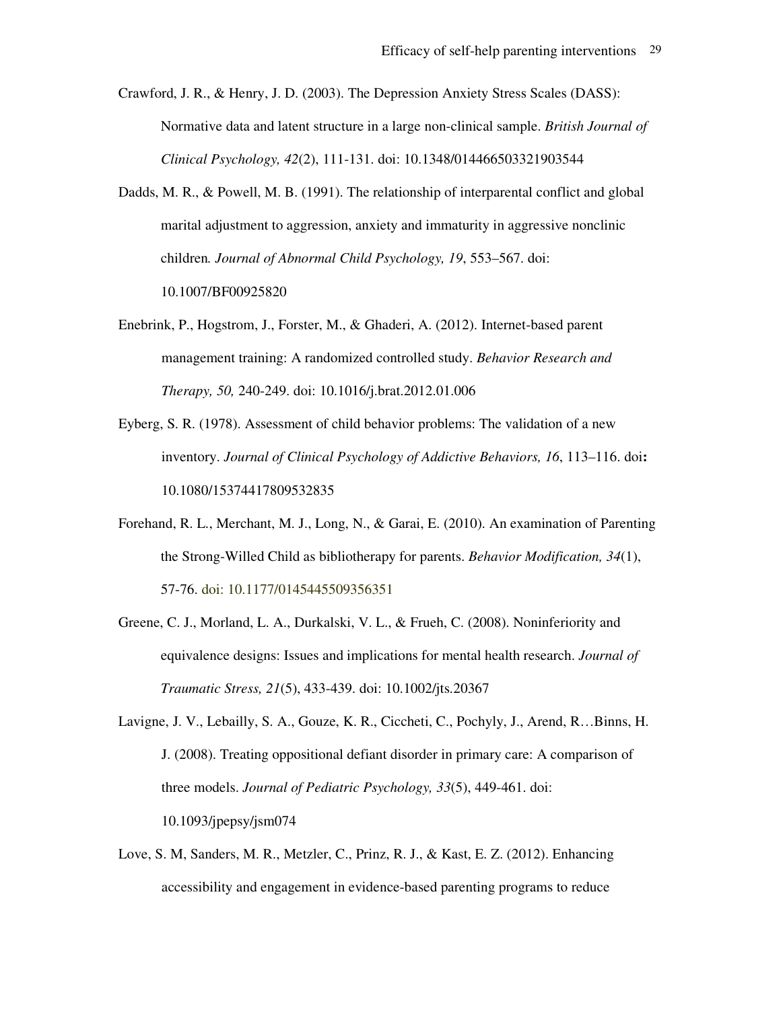Crawford, J. R., & Henry, J. D. (2003). The Depression Anxiety Stress Scales (DASS): Normative data and latent structure in a large non-clinical sample. *British Journal of Clinical Psychology, 42*(2), 111-131. doi: 10.1348/014466503321903544

Dadds, M. R., & Powell, M. B. (1991). The relationship of interparental conflict and global marital adjustment to aggression, anxiety and immaturity in aggressive nonclinic children*. Journal of Abnormal Child Psychology, 19*, 553–567. doi:

10.1007/BF00925820

Enebrink, P., Hogstrom, J., Forster, M., & Ghaderi, A. (2012). Internet-based parent management training: A randomized controlled study. *Behavior Research and Therapy, 50,* 240-249. doi: 10.1016/j.brat.2012.01.006

- Eyberg, S. R. (1978). Assessment of child behavior problems: The validation of a new inventory. *Journal of Clinical Psychology of Addictive Behaviors, 16*, 113–116. doi**:** 10.1080/15374417809532835
- Forehand, R. L., Merchant, M. J., Long, N., & Garai, E. (2010). An examination of Parenting the Strong-Willed Child as bibliotherapy for parents. *Behavior Modification, 34*(1), 57-76. doi: 10.1177/0145445509356351
- Greene, C. J., Morland, L. A., Durkalski, V. L., & Frueh, C. (2008). Noninferiority and equivalence designs: Issues and implications for mental health research. *Journal of Traumatic Stress, 21*(5), 433-439. doi: 10.1002/jts.20367

Lavigne, J. V., Lebailly, S. A., Gouze, K. R., Ciccheti, C., Pochyly, J., Arend, R…Binns, H. J. (2008). Treating oppositional defiant disorder in primary care: A comparison of three models. *Journal of Pediatric Psychology, 33*(5), 449-461. doi: 10.1093/jpepsy/jsm074

Love, S. M, Sanders, M. R., Metzler, C., Prinz, R. J., & Kast, E. Z. (2012). Enhancing accessibility and engagement in evidence-based parenting programs to reduce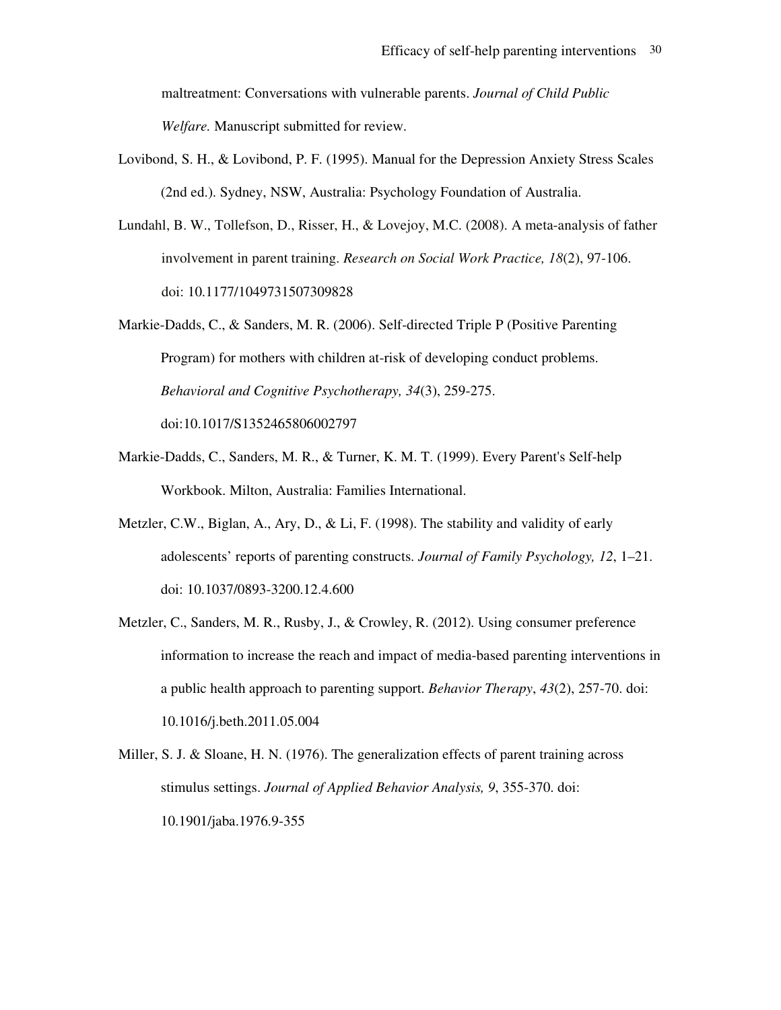maltreatment: Conversations with vulnerable parents. *Journal of Child Public Welfare.* Manuscript submitted for review.

- Lovibond, S. H., & Lovibond, P. F. (1995). Manual for the Depression Anxiety Stress Scales (2nd ed.). Sydney, NSW, Australia: Psychology Foundation of Australia.
- Lundahl, B. W., Tollefson, D., Risser, H., & Lovejoy, M.C. (2008). A meta-analysis of father involvement in parent training. *Research on Social Work Practice, 18*(2), 97-106. doi: 10.1177/1049731507309828
- Markie-Dadds, C., & Sanders, M. R. (2006). Self-directed Triple P (Positive Parenting Program) for mothers with children at-risk of developing conduct problems. *Behavioral and Cognitive Psychotherapy, 34*(3), 259-275. doi:10.1017/S1352465806002797
- Markie-Dadds, C., Sanders, M. R., & Turner, K. M. T. (1999). Every Parent's Self-help Workbook. Milton, Australia: Families International.
- Metzler, C.W., Biglan, A., Ary, D., & Li, F. (1998). The stability and validity of early adolescents' reports of parenting constructs. *Journal of Family Psychology, 12*, 1–21. doi: 10.1037/0893-3200.12.4.600
- Metzler, C., Sanders, M. R., Rusby, J., & Crowley, R. (2012). Using consumer preference information to increase the reach and impact of media-based parenting interventions in a public health approach to parenting support. *Behavior Therapy*, *43*(2), 257-70. doi: 10.1016/j.beth.2011.05.004
- Miller, S. J. & Sloane, H. N. (1976). The generalization effects of parent training across stimulus settings. *Journal of Applied Behavior Analysis, 9*, 355-370. doi: 10.1901/jaba.1976.9-355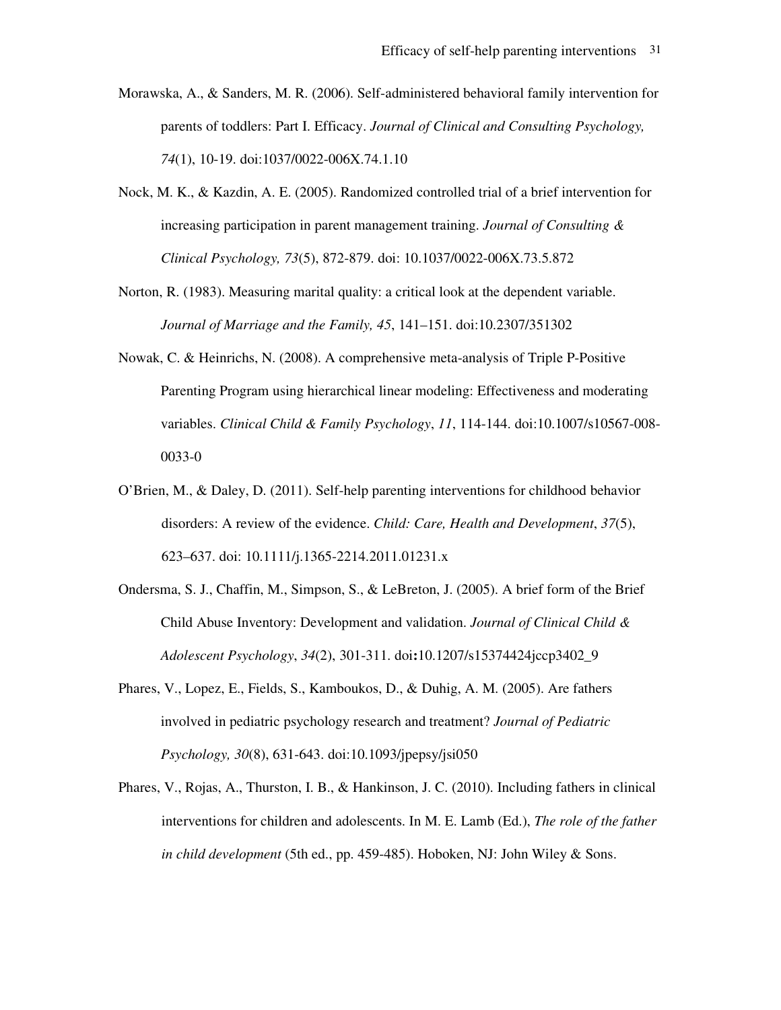- Morawska, A., & Sanders, M. R. (2006). Self-administered behavioral family intervention for parents of toddlers: Part I. Efficacy. *Journal of Clinical and Consulting Psychology, 74*(1), 10-19. doi:1037/0022-006X.74.1.10
- Nock, M. K., & Kazdin, A. E. (2005). Randomized controlled trial of a brief intervention for increasing participation in parent management training. *Journal of Consulting & Clinical Psychology, 73*(5), 872-879. doi: 10.1037/0022-006X.73.5.872
- Norton, R. (1983). Measuring marital quality: a critical look at the dependent variable. *Journal of Marriage and the Family, 45*, 141–151. doi:10.2307/351302
- Nowak, C. & Heinrichs, N. (2008). A comprehensive meta-analysis of Triple P-Positive Parenting Program using hierarchical linear modeling: Effectiveness and moderating variables. *Clinical Child & Family Psychology*, *11*, 114-144. doi:10.1007/s10567-008- 0033-0
- O'Brien, M., & Daley, D. (2011). Self-help parenting interventions for childhood behavior disorders: A review of the evidence. *Child: Care, Health and Development*, *37*(5), 623–637. doi: 10.1111/j.1365-2214.2011.01231.x
- Ondersma, S. J., Chaffin, M., Simpson, S., & LeBreton, J. (2005). A brief form of the Brief Child Abuse Inventory: Development and validation. *Journal of Clinical Child & Adolescent Psychology*, *34*(2), 301-311. doi**:**10.1207/s15374424jccp3402\_9
- Phares, V., Lopez, E., Fields, S., Kamboukos, D., & Duhig, A. M. (2005). Are fathers involved in pediatric psychology research and treatment? *Journal of Pediatric Psychology, 30*(8), 631-643. doi:10.1093/jpepsy/jsi050
- Phares, V., Rojas, A., Thurston, I. B., & Hankinson, J. C. (2010). Including fathers in clinical interventions for children and adolescents. In M. E. Lamb (Ed.), *The role of the father in child development* (5th ed., pp. 459-485). Hoboken, NJ: John Wiley & Sons.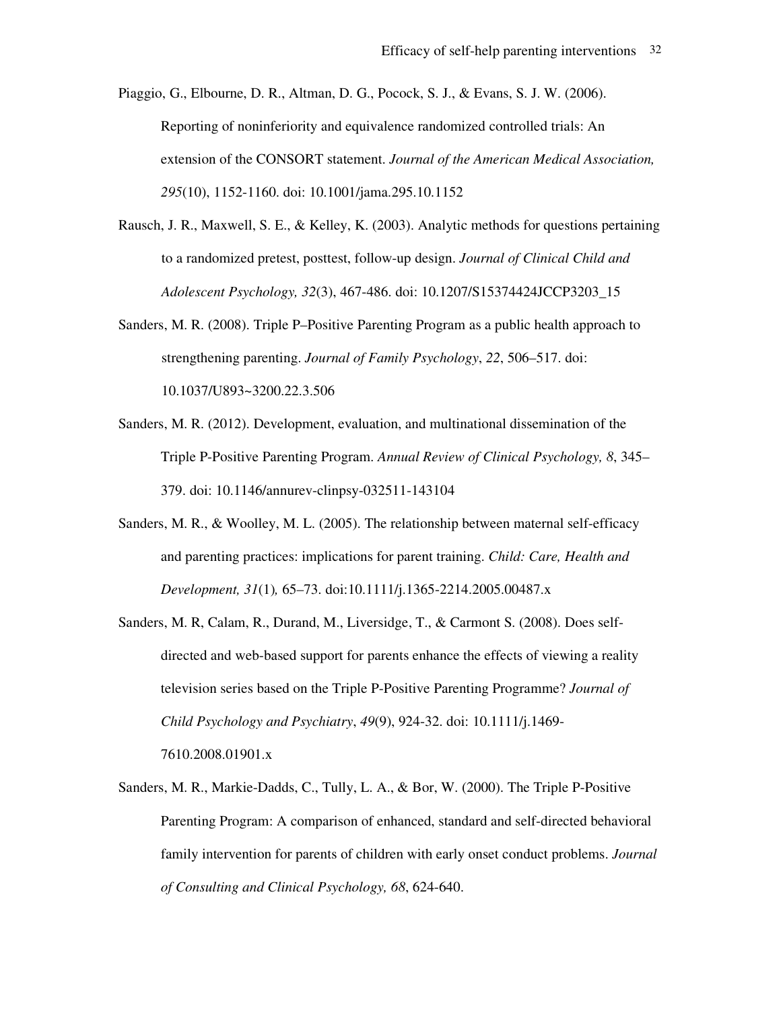Piaggio, G., Elbourne, D. R., Altman, D. G., Pocock, S. J., & Evans, S. J. W. (2006). Reporting of noninferiority and equivalence randomized controlled trials: An extension of the CONSORT statement. *Journal of the American Medical Association, 295*(10), 1152-1160. doi: 10.1001/jama.295.10.1152

- Rausch, J. R., Maxwell, S. E., & Kelley, K. (2003). Analytic methods for questions pertaining to a randomized pretest, posttest, follow-up design. *Journal of Clinical Child and Adolescent Psychology, 32*(3), 467-486. doi: 10.1207/S15374424JCCP3203\_15
- Sanders, M. R. (2008). Triple P–Positive Parenting Program as a public health approach to strengthening parenting. *Journal of Family Psychology*, *22*, 506–517. doi: 10.1037/U893~3200.22.3.506
- Sanders, M. R. (2012). Development, evaluation, and multinational dissemination of the Triple P-Positive Parenting Program. *Annual Review of Clinical Psychology, 8*, 345– 379. doi: 10.1146/annurev-clinpsy-032511-143104
- Sanders, M. R., & Woolley, M. L. (2005). The relationship between maternal self-efficacy and parenting practices: implications for parent training. *Child: Care, Health and Development, 31*(1)*,* 65–73. doi:10.1111/j.1365-2214.2005.00487.x
- Sanders, M. R, Calam, R., Durand, M., Liversidge, T., & Carmont S. (2008). Does selfdirected and web-based support for parents enhance the effects of viewing a reality television series based on the Triple P-Positive Parenting Programme? *Journal of Child Psychology and Psychiatry*, *49*(9), 924-32. doi: 10.1111/j.1469- 7610.2008.01901.x
- Sanders, M. R., Markie-Dadds, C., Tully, L. A., & Bor, W. (2000). The Triple P-Positive Parenting Program: A comparison of enhanced, standard and self-directed behavioral family intervention for parents of children with early onset conduct problems. *Journal of Consulting and Clinical Psychology, 68*, 624-640.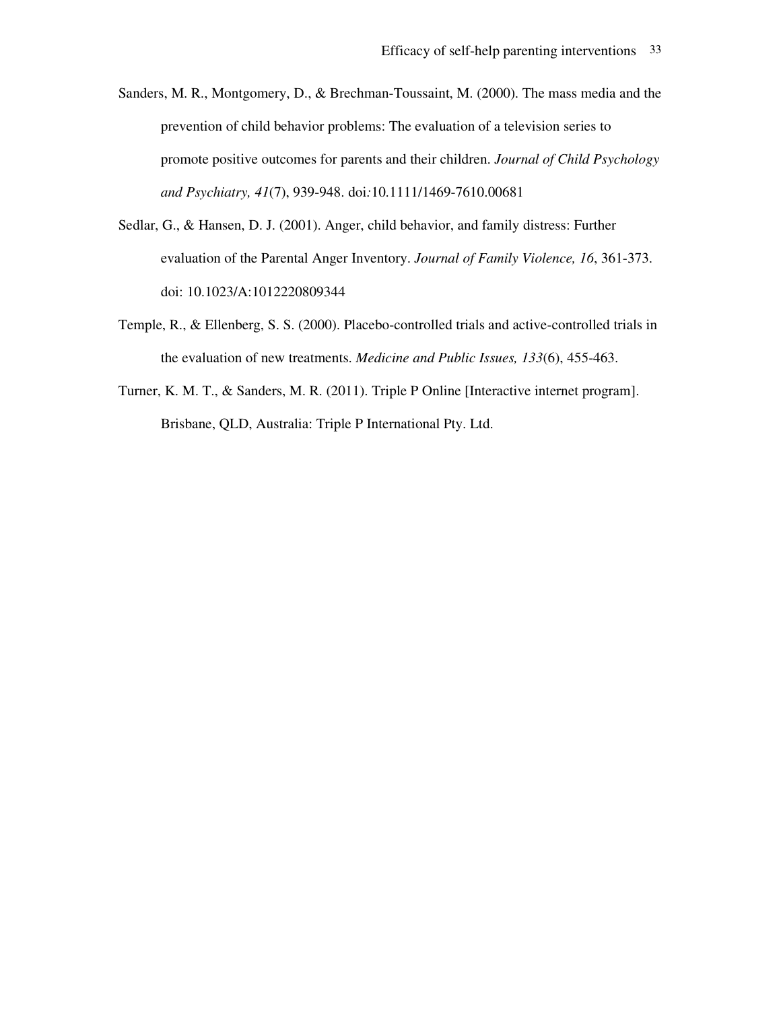- Sanders, M. R., Montgomery, D., & Brechman-Toussaint, M. (2000). The mass media and the prevention of child behavior problems: The evaluation of a television series to promote positive outcomes for parents and their children. *Journal of Child Psychology and Psychiatry, 41*(7), 939-948. doi*:*10.1111/1469-7610.00681
- Sedlar, G., & Hansen, D. J. (2001). Anger, child behavior, and family distress: Further evaluation of the Parental Anger Inventory. *Journal of Family Violence, 16*, 361-373. doi: 10.1023/A:1012220809344
- Temple, R., & Ellenberg, S. S. (2000). Placebo-controlled trials and active-controlled trials in the evaluation of new treatments. *Medicine and Public Issues, 133*(6), 455-463.
- Turner, K. M. T., & Sanders, M. R. (2011). Triple P Online [Interactive internet program]. Brisbane, QLD, Australia: Triple P International Pty. Ltd.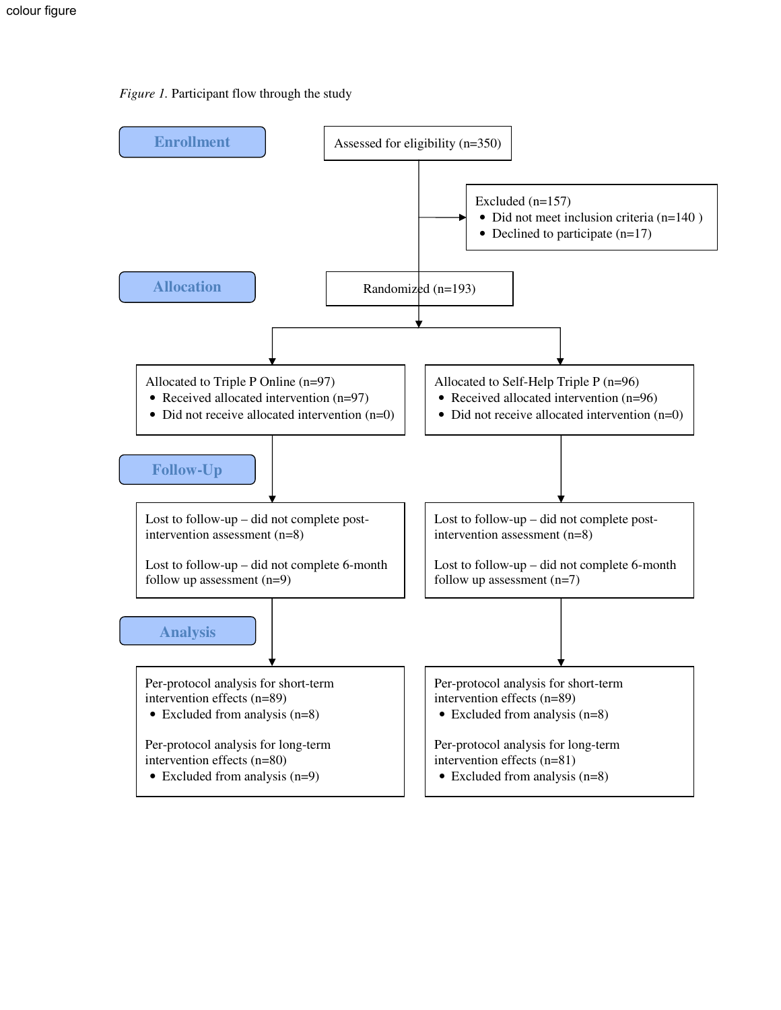### *Figure 1.* Participant flow through the study

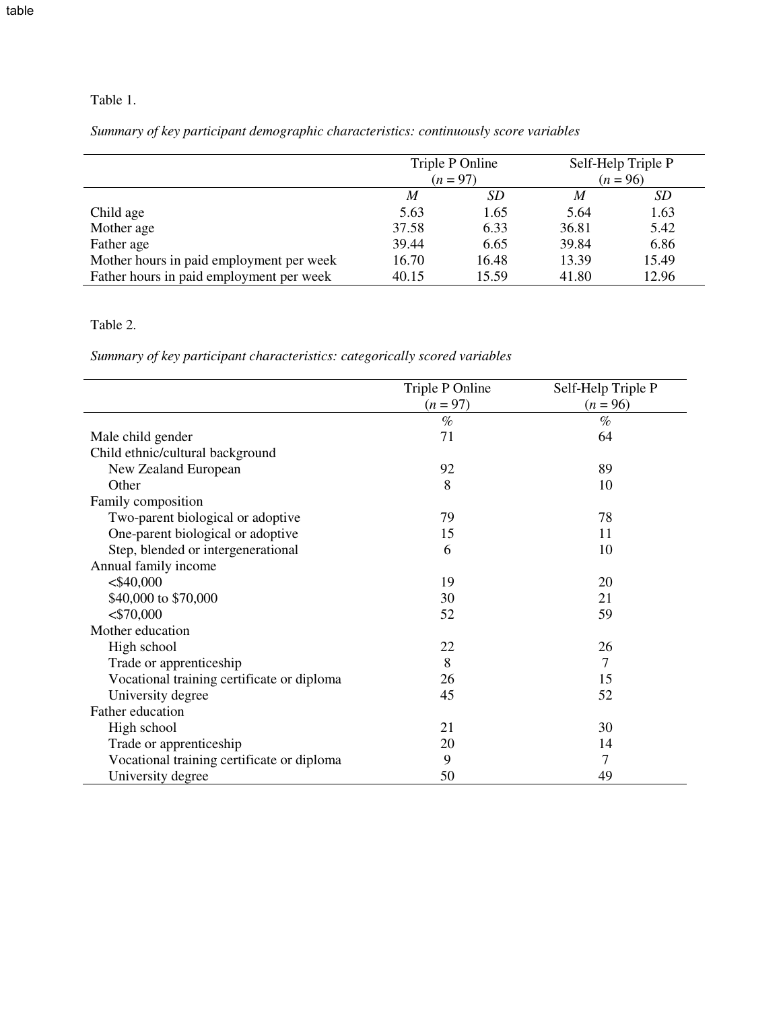*Summary of key participant demographic characteristics: continuously score variables* 

|                                          | Triple P Online<br>$(n = 97)$ |       |       | Self-Help Triple P<br>$(n = 96)$ |
|------------------------------------------|-------------------------------|-------|-------|----------------------------------|
|                                          | M                             | SD    | M     | SD                               |
| Child age                                | 5.63                          | 1.65  | 5.64  | 1.63                             |
| Mother age                               | 37.58                         | 6.33  | 36.81 | 5.42                             |
| Father age                               | 39.44                         | 6.65  | 39.84 | 6.86                             |
| Mother hours in paid employment per week | 16.70                         | 16.48 | 13.39 | 15.49                            |
| Father hours in paid employment per week | 40.15                         | 15.59 | 41.80 | 12.96                            |

## Table 2.

*Summary of key participant characteristics: categorically scored variables* 

|                                            | Triple P Online | Self-Help Triple P |
|--------------------------------------------|-----------------|--------------------|
|                                            | $(n = 97)$      | $(n = 96)$         |
|                                            | $\%$            | $\%$               |
| Male child gender                          | 71              | 64                 |
| Child ethnic/cultural background           |                 |                    |
| New Zealand European                       | 92              | 89                 |
| Other                                      | 8               | 10                 |
| Family composition                         |                 |                    |
| Two-parent biological or adoptive          | 79              | 78                 |
| One-parent biological or adoptive          | 15              | 11                 |
| Step, blended or intergenerational         | 6               | 10                 |
| Annual family income                       |                 |                    |
| $<$ \$40,000                               | 19              | 20                 |
| \$40,000 to \$70,000                       | 30              | 21                 |
| $<$ \$70,000                               | 52              | 59                 |
| Mother education                           |                 |                    |
| High school                                | 22              | 26                 |
| Trade or apprenticeship                    | 8               | 7                  |
| Vocational training certificate or diploma | 26              | 15                 |
| University degree                          | 45              | 52                 |
| Father education                           |                 |                    |
| High school                                | 21              | 30                 |
| Trade or apprenticeship                    | 20              | 14                 |
| Vocational training certificate or diploma | 9               | 7                  |
| University degree                          | 50              | 49                 |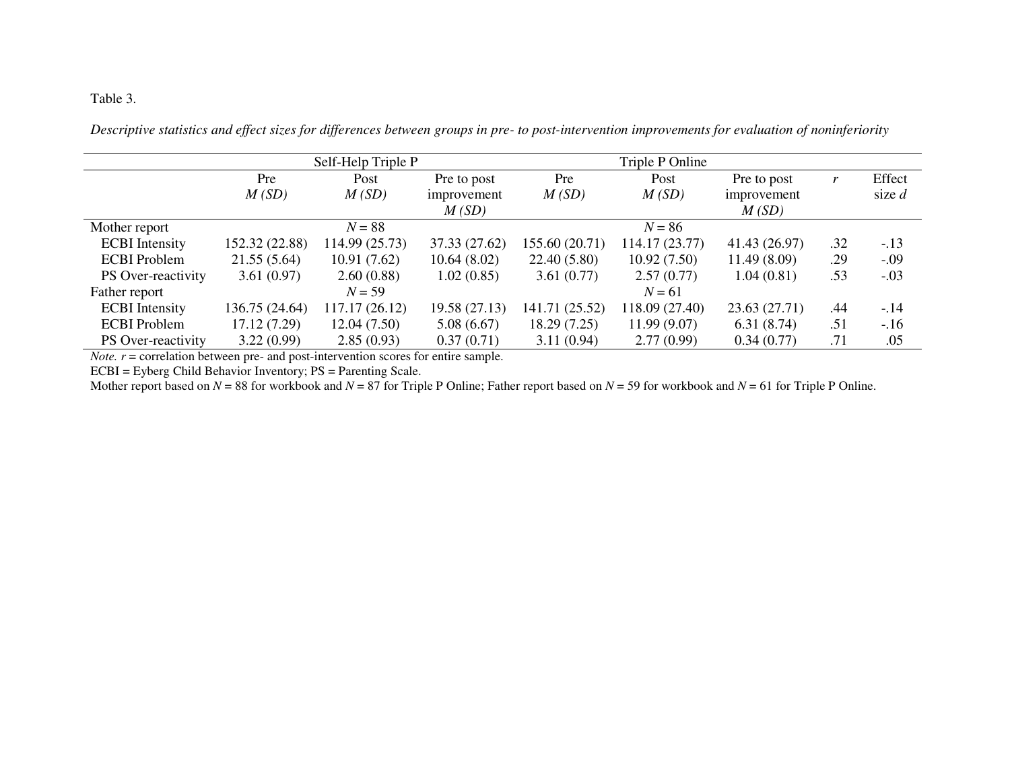## Table 3.

*Descriptive statistics and effect sizes for differences between groups in pre- to post-intervention improvements for evaluation of noninferiority* 

|                       |                | Self-Help Triple P |               |                | Triple P Online |               |     |          |
|-----------------------|----------------|--------------------|---------------|----------------|-----------------|---------------|-----|----------|
|                       | Pre            | Post               | Pre to post   | Pre            | Post            | Pre to post   |     | Effect   |
|                       | M(SD)          | M(SD)              | improvement   | M(SD)          | M(SD)           | improvement   |     | size $d$ |
|                       |                |                    | M(SD)         |                |                 | M(SD)         |     |          |
| Mother report         |                | $N = 88$           |               |                | $N = 86$        |               |     |          |
| <b>ECBI</b> Intensity | 152.32 (22.88) | 114.99 (25.73)     | 37.33 (27.62) | 155.60 (20.71) | 114.17 (23.77)  | 41.43 (26.97) | .32 | $-.13$   |
| <b>ECBI</b> Problem   | 21.55(5.64)    | 10.91(7.62)        | 10.64(8.02)   | 22.40(5.80)    | 10.92(7.50)     | 11.49(8.09)   | .29 | $-.09$   |
| PS Over-reactivity    | 3.61(0.97)     | 2.60(0.88)         | 1.02(0.85)    | 3.61(0.77)     | 2.57(0.77)      | 1.04(0.81)    | .53 | $-.03$   |
| Father report         |                | $N = 59$           |               |                | $N = 61$        |               |     |          |
| <b>ECBI</b> Intensity | 136.75 (24.64) | 117.17 (26.12)     | 19.58(27.13)  | 141.71 (25.52) | 118.09 (27.40)  | 23.63 (27.71) | .44 | $-.14$   |
| <b>ECBI</b> Problem   | 17.12 (7.29)   | 12.04(7.50)        | 5.08(6.67)    | 18.29(7.25)    | 11.99(9.07)     | 6.31(8.74)    | .51 | $-.16$   |
| PS Over-reactivity    | 3.22(0.99)     | 2.85(0.93)         | 0.37(0.71)    | 3.11(0.94)     | 2.77(0.99)      | 0.34(0.77)    | .71 | .05      |

*Note. <sup>r</sup>* = correlation between pre- and post-intervention scores for entire sample.

ECBI = Eyberg Child Behavior Inventory; PS = Parenting Scale.

Mother report based on  $N = 88$  for workbook and  $N = 87$  for Triple P Online; Father report based on  $N = 59$  for workbook and  $N = 61$  for Triple P Online.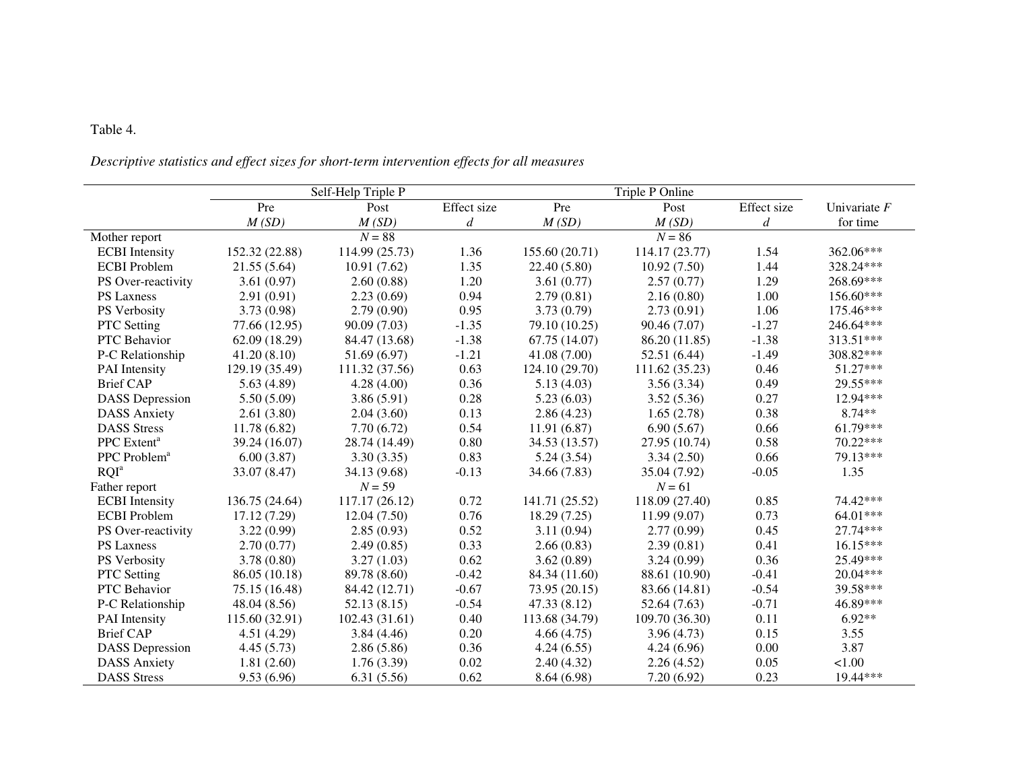## Table 4.

### *Descriptive statistics and effect sizes for short-term intervention effects for all measures*

|                          |                | Self-Help Triple P |             |                | Triple P Online |                  |                |
|--------------------------|----------------|--------------------|-------------|----------------|-----------------|------------------|----------------|
|                          | Pre            | Post               | Effect size | Pre            | Post            | Effect size      | Univariate $F$ |
|                          | M(SD)          | M(SD)              | d           | M(SD)          | M(SD)           | $\boldsymbol{d}$ | for time       |
| Mother report            |                | $N = 88$           |             |                | $N = 86$        |                  |                |
| <b>ECBI</b> Intensity    | 152.32 (22.88) | 114.99 (25.73)     | 1.36        | 155.60 (20.71) | 114.17 (23.77)  | 1.54             | 362.06***      |
| <b>ECBI</b> Problem      | 21.55(5.64)    | 10.91(7.62)        | 1.35        | 22.40 (5.80)   | 10.92(7.50)     | 1.44             | 328.24***      |
| PS Over-reactivity       | 3.61(0.97)     | 2.60(0.88)         | 1.20        | 3.61(0.77)     | 2.57(0.77)      | 1.29             | 268.69***      |
| PS Laxness               | 2.91(0.91)     | 2.23(0.69)         | 0.94        | 2.79(0.81)     | 2.16(0.80)      | 1.00             | 156.60***      |
| PS Verbosity             | 3.73(0.98)     | 2.79(0.90)         | 0.95        | 3.73(0.79)     | 2.73(0.91)      | 1.06             | 175.46***      |
| PTC Setting              | 77.66 (12.95)  | 90.09 (7.03)       | $-1.35$     | 79.10 (10.25)  | 90.46 (7.07)    | $-1.27$          | 246.64***      |
| PTC Behavior             | 62.09(18.29)   | 84.47 (13.68)      | $-1.38$     | 67.75 (14.07)  | 86.20 (11.85)   | $-1.38$          | 313.51***      |
| P-C Relationship         | 41.20(8.10)    | 51.69 (6.97)       | $-1.21$     | 41.08(7.00)    | 52.51(6.44)     | $-1.49$          | 308.82***      |
| PAI Intensity            | 129.19 (35.49) | 111.32 (37.56)     | 0.63        | 124.10 (29.70) | 111.62 (35.23)  | 0.46             | $51.27***$     |
| <b>Brief CAP</b>         | 5.63(4.89)     | 4.28(4.00)         | 0.36        | 5.13(4.03)     | 3.56(3.34)      | 0.49             | 29.55***       |
| <b>DASS</b> Depression   | 5.50(5.09)     | 3.86(5.91)         | 0.28        | 5.23(6.03)     | 3.52(5.36)      | 0.27             | 12.94***       |
| <b>DASS Anxiety</b>      | 2.61(3.80)     | 2.04(3.60)         | 0.13        | 2.86(4.23)     | 1.65(2.78)      | 0.38             | 8.74**         |
| <b>DASS</b> Stress       | 11.78(6.82)    | 7.70(6.72)         | 0.54        | 11.91(6.87)    | 6.90(5.67)      | 0.66             | 61.79***       |
| PPC Extent <sup>a</sup>  | 39.24 (16.07)  | 28.74 (14.49)      | 0.80        | 34.53 (13.57)  | 27.95 (10.74)   | 0.58             | 70.22***       |
| PPC Problem <sup>a</sup> | 6.00(3.87)     | 3.30(3.35)         | 0.83        | 5.24(3.54)     | 3.34(2.50)      | 0.66             | 79.13***       |
| RQI <sup>a</sup>         | 33.07 (8.47)   | 34.13 (9.68)       | $-0.13$     | 34.66 (7.83)   | 35.04 (7.92)    | $-0.05$          | 1.35           |
| Father report            |                | $N = 59$           |             |                | $N = 61$        |                  |                |
| <b>ECBI</b> Intensity    | 136.75 (24.64) | 117.17 (26.12)     | 0.72        | 141.71 (25.52) | 118.09 (27.40)  | 0.85             | 74.42***       |
| <b>ECBI</b> Problem      | 17.12 (7.29)   | 12.04(7.50)        | 0.76        | 18.29(7.25)    | 11.99(9.07)     | 0.73             | 64.01***       |
| PS Over-reactivity       | 3.22(0.99)     | 2.85(0.93)         | 0.52        | 3.11(0.94)     | 2.77(0.99)      | 0.45             | 27.74***       |
| PS Laxness               | 2.70(0.77)     | 2.49(0.85)         | 0.33        | 2.66(0.83)     | 2.39(0.81)      | 0.41             | $16.15***$     |
| PS Verbosity             | 3.78(0.80)     | 3.27(1.03)         | 0.62        | 3.62(0.89)     | 3.24(0.99)      | 0.36             | 25.49***       |
| PTC Setting              | 86.05 (10.18)  | 89.78 (8.60)       | $-0.42$     | 84.34 (11.60)  | 88.61 (10.90)   | $-0.41$          | 20.04***       |
| PTC Behavior             | 75.15 (16.48)  | 84.42 (12.71)      | $-0.67$     | 73.95 (20.15)  | 83.66 (14.81)   | $-0.54$          | 39.58***       |
| P-C Relationship         | 48.04 (8.56)   | 52.13(8.15)        | $-0.54$     | 47.33 (8.12)   | 52.64 (7.63)    | $-0.71$          | 46.89***       |
| PAI Intensity            | 115.60 (32.91) | 102.43 (31.61)     | 0.40        | 113.68 (34.79) | 109.70 (36.30)  | 0.11             | $6.92**$       |
| <b>Brief CAP</b>         | 4.51(4.29)     | 3.84(4.46)         | 0.20        | 4.66(4.75)     | 3.96(4.73)      | 0.15             | 3.55           |
| <b>DASS</b> Depression   | 4.45(5.73)     | 2.86(5.86)         | 0.36        | 4.24(6.55)     | 4.24(6.96)      | 0.00             | 3.87           |
| <b>DASS Anxiety</b>      | 1.81(2.60)     | 1.76(3.39)         | 0.02        | 2.40(4.32)     | 2.26(4.52)      | 0.05             | 1.00           |
| <b>DASS</b> Stress       | 9.53(6.96)     | 6.31(5.56)         | 0.62        | 8.64(6.98)     | 7.20(6.92)      | 0.23             | 19.44***       |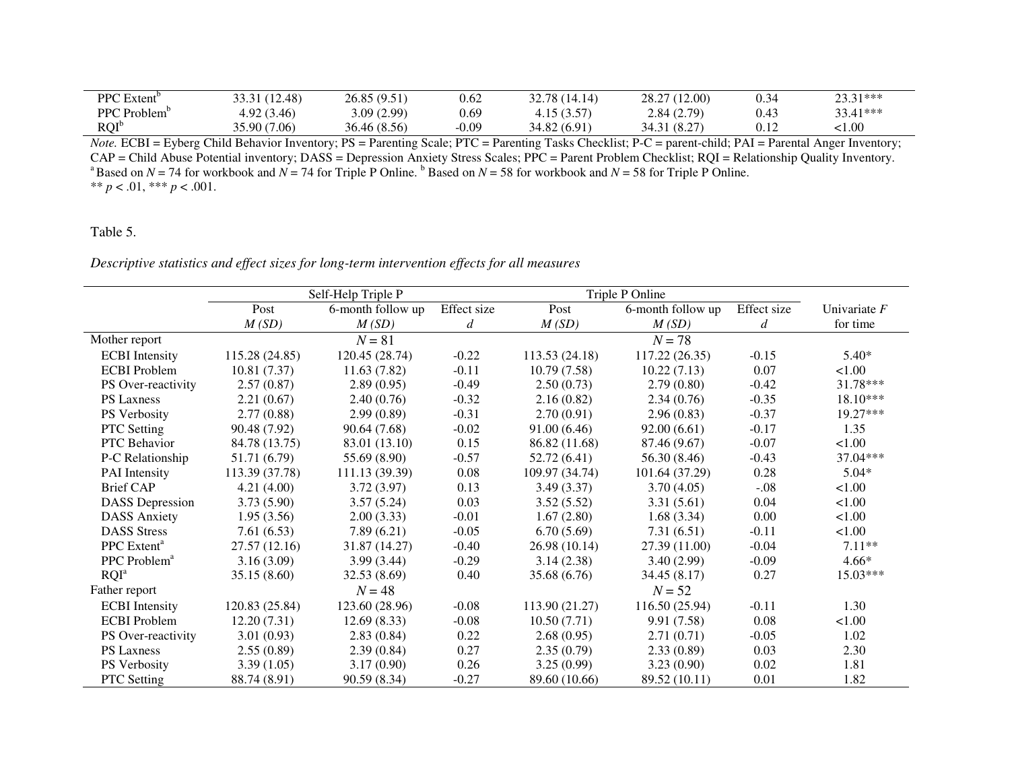| PPC Extent <sup>b</sup> | 33.31 (12.48) | 26.85 (9.51) | 0.62    | 32.78 (14.14) | 28.27 (12.00) | 0.34 | 23.31*** |
|-------------------------|---------------|--------------|---------|---------------|---------------|------|----------|
| PPC Problem             | 4.92(3.46)    | 3.09(2.99)   | 0.69    | 4.15(3.57)    | 2.84(2.79)    | 0.43 | 33.41*** |
| ROI <sup>b</sup>        | 35.90 (7.06)  | 36.46 (8.56) | $-0.09$ | 34.82 (6.91)  | 34.31 (8.27)  | 0.12 | .1.00    |

*Note.* ECBI = Eyberg Child Behavior Inventory; PS = Parenting Scale; PTC = Parenting Tasks Checklist; P-C = parent-child; PAI = Parental Anger Inventory;  $CAP = Child$  Abuse Potential inventory; DASS = Depression Anxiety Stress Scales; PPC = Parent Problem Checklist; RQI = Relationship Quality Inventory.<br><sup>a</sup> Based on *N* = 74 for workbook and *N* = 74 for Triple P Online. <sup>b</sup> Base \*\*  $p < .01$ , \*\*\*  $p < .001$ .

## Table 5.

*Descriptive statistics and effect sizes for long-term intervention effects for all measures* 

|                          |                | Self-Help Triple P |             | Triple P Online |                   |             |                |
|--------------------------|----------------|--------------------|-------------|-----------------|-------------------|-------------|----------------|
|                          | Post           | 6-month follow up  | Effect size | Post            | 6-month follow up | Effect size | Univariate $F$ |
|                          | M(SD)          | M(SD)              | d           | M(SD)           | M(SD)             | d           | for time       |
| Mother report            |                | $N = 81$           |             |                 | $N = 78$          |             |                |
| <b>ECBI</b> Intensity    | 115.28 (24.85) | 120.45 (28.74)     | $-0.22$     | 113.53 (24.18)  | 117.22 (26.35)    | $-0.15$     | $5.40*$        |
| <b>ECBI</b> Problem      | 10.81(7.37)    | 11.63(7.82)        | $-0.11$     | 10.79(7.58)     | 10.22(7.13)       | 0.07        | 1.00           |
| PS Over-reactivity       | 2.57(0.87)     | 2.89(0.95)         | $-0.49$     | 2.50(0.73)      | 2.79(0.80)        | $-0.42$     | 31.78***       |
| <b>PS Laxness</b>        | 2.21(0.67)     | 2.40(0.76)         | $-0.32$     | 2.16(0.82)      | 2.34(0.76)        | $-0.35$     | 18.10***       |
| PS Verbosity             | 2.77(0.88)     | 2.99(0.89)         | $-0.31$     | 2.70(0.91)      | 2.96(0.83)        | $-0.37$     | 19.27***       |
| <b>PTC</b> Setting       | 90.48 (7.92)   | 90.64 (7.68)       | $-0.02$     | 91.00(6.46)     | 92.00(6.61)       | $-0.17$     | 1.35           |
| PTC Behavior             | 84.78 (13.75)  | 83.01 (13.10)      | 0.15        | 86.82 (11.68)   | 87.46 (9.67)      | $-0.07$     | 1.00           |
| P-C Relationship         | 51.71 (6.79)   | 55.69 (8.90)       | $-0.57$     | 52.72 (6.41)    | 56.30 (8.46)      | $-0.43$     | 37.04***       |
| PAI Intensity            | 113.39 (37.78) | 111.13 (39.39)     | 0.08        | 109.97 (34.74)  | 101.64 (37.29)    | 0.28        | $5.04*$        |
| <b>Brief CAP</b>         | 4.21(4.00)     | 3.72(3.97)         | 0.13        | 3.49(3.37)      | 3.70(4.05)        | $-.08$      | 1.00           |
| <b>DASS</b> Depression   | 3.73(5.90)     | 3.57(5.24)         | 0.03        | 3.52(5.52)      | 3.31(5.61)        | 0.04        | 1.00           |
| <b>DASS Anxiety</b>      | 1.95(3.56)     | 2.00(3.33)         | $-0.01$     | 1.67(2.80)      | 1.68(3.34)        | 0.00        | 1.00           |
| <b>DASS Stress</b>       | 7.61(6.53)     | 7.89(6.21)         | $-0.05$     | 6.70(5.69)      | 7.31(6.51)        | $-0.11$     | 1.00           |
| PPC Extent <sup>a</sup>  | 27.57 (12.16)  | 31.87 (14.27)      | $-0.40$     | 26.98 (10.14)   | 27.39 (11.00)     | $-0.04$     | $7.11**$       |
| PPC Problem <sup>a</sup> | 3.16(3.09)     | 3.99(3.44)         | $-0.29$     | 3.14(2.38)      | 3.40(2.99)        | $-0.09$     | $4.66*$        |
| RQI <sup>a</sup>         | 35.15(8.60)    | 32.53(8.69)        | 0.40        | 35.68 (6.76)    | 34.45(8.17)       | 0.27        | $15.03***$     |
| Father report            |                | $N = 48$           |             |                 | $N = 52$          |             |                |
| <b>ECBI</b> Intensity    | 120.83 (25.84) | 123.60 (28.96)     | $-0.08$     | 113.90 (21.27)  | 116.50 (25.94)    | $-0.11$     | 1.30           |
| <b>ECBI</b> Problem      | 12.20(7.31)    | 12.69(8.33)        | $-0.08$     | 10.50(7.71)     | 9.91(7.58)        | 0.08        | 1.00           |
| PS Over-reactivity       | 3.01(0.93)     | 2.83(0.84)         | 0.22        | 2.68(0.95)      | 2.71(0.71)        | $-0.05$     | 1.02           |
| PS Laxness               | 2.55(0.89)     | 2.39(0.84)         | 0.27        | 2.35(0.79)      | 2.33(0.89)        | 0.03        | 2.30           |
| PS Verbosity             | 3.39(1.05)     | 3.17(0.90)         | 0.26        | 3.25(0.99)      | 3.23(0.90)        | 0.02        | 1.81           |
| <b>PTC</b> Setting       | 88.74 (8.91)   | 90.59 (8.34)       | $-0.27$     | 89.60 (10.66)   | 89.52 (10.11)     | 0.01        | 1.82           |